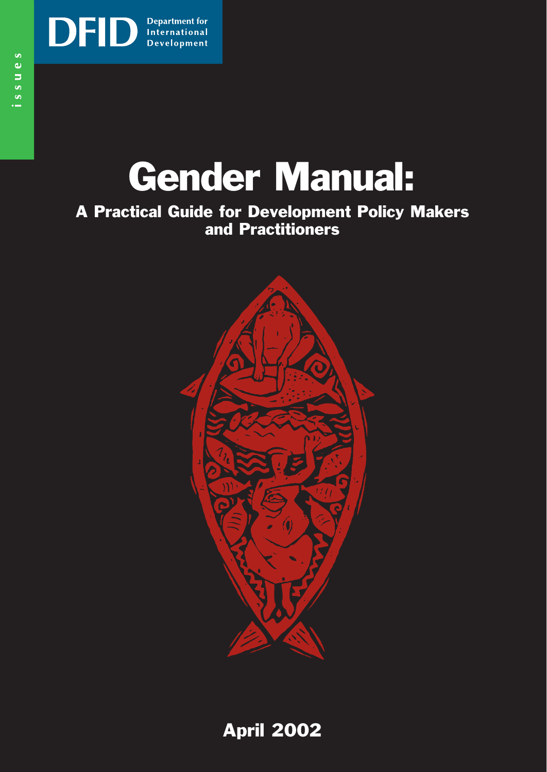

# Gender Manual:

### A Practical Guide for Development Policy Makers and Practitioners



April 2002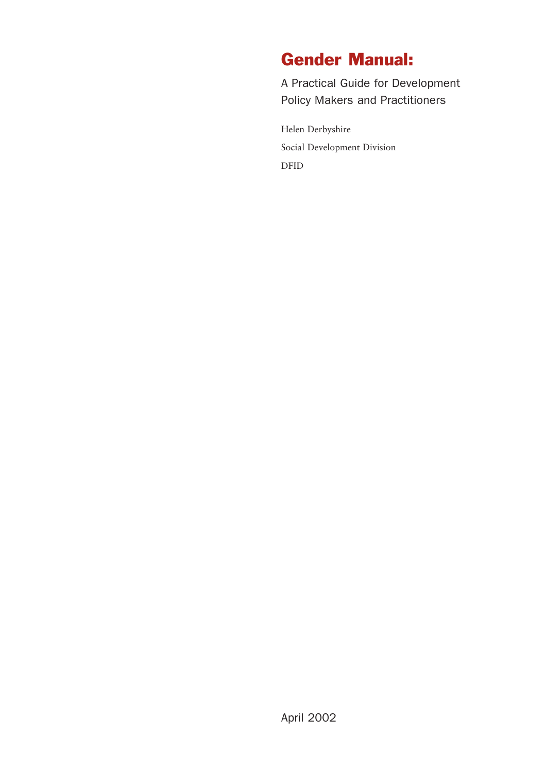### Gender Manual:

A Practical Guide for Development Policy Makers and Practitioners

Helen Derbyshire Social Development Division DFID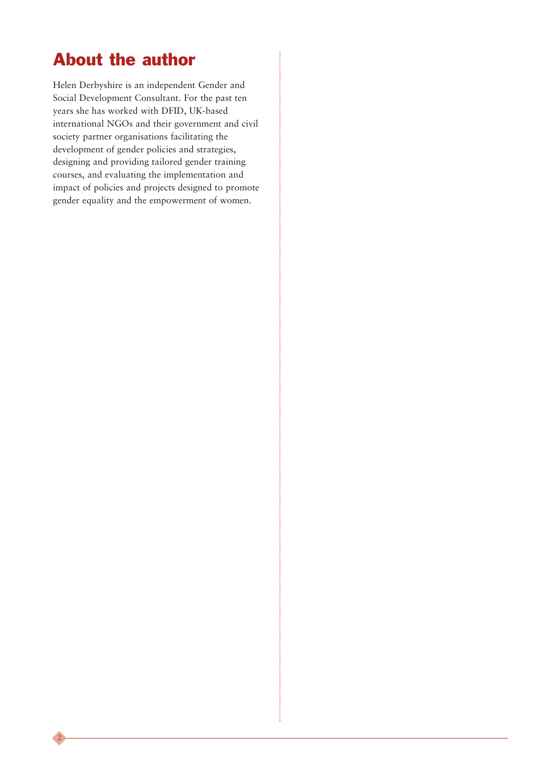### About the author

2

Helen Derbyshire is an independent Gender and Social Development Consultant. For the past ten years she has worked with DFID, UK-based international NGOs and their government and civil society partner organisations facilitating the development of gender policies and strategies, designing and providing tailored gender training courses, and evaluating the implementation and impact of policies and projects designed to promote gender equality and the empowerment of women.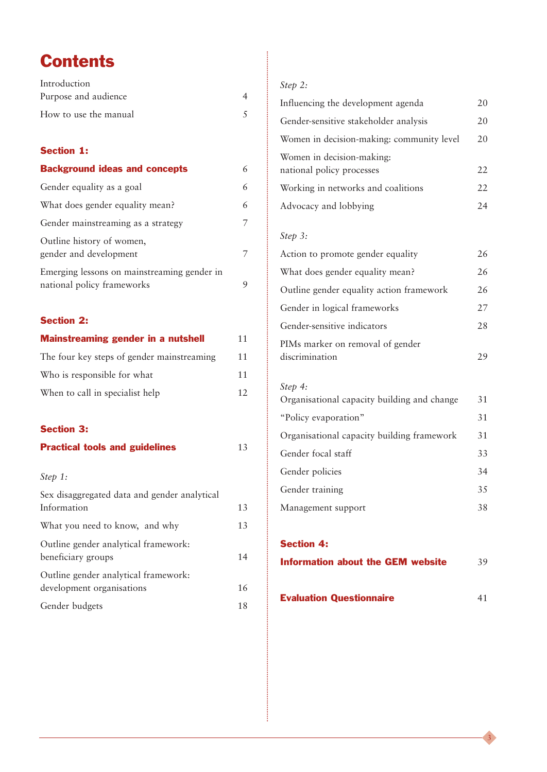### **Contents**

| Introduction                                                              |    |
|---------------------------------------------------------------------------|----|
| Purpose and audience                                                      | 4  |
| How to use the manual                                                     | 5  |
| <b>Section 1:</b>                                                         |    |
| <b>Background ideas and concepts</b>                                      | 6  |
| Gender equality as a goal                                                 | 6  |
| What does gender equality mean?                                           | 6  |
| Gender mainstreaming as a strategy                                        | 7  |
| Outline history of women,<br>gender and development                       | 7  |
| Emerging lessons on mainstreaming gender in<br>national policy frameworks | 9  |
| <b>Section 2:</b>                                                         |    |
| <b>Mainstreaming gender in a nutshell</b>                                 | 11 |
| The four key steps of gender mainstreaming                                | 11 |
| Who is responsible for what                                               | 11 |
| When to call in specialist help                                           | 12 |
| <b>Section 3:</b>                                                         |    |
| <b>Practical tools and guidelines</b>                                     | 13 |
| Step 1:                                                                   |    |
| Sex disaggregated data and gender analytical<br>Information               | 13 |
| What you need to know, and why                                            | 13 |
| Outline gender analytical framework:<br>beneficiary groups                | 14 |
| Outline gender analytical framework:                                      |    |
| development organisations                                                 | 16 |
| Gender budgets                                                            | 18 |

#### *Step 2:*

| Influencing the development agenda                     | 20 |
|--------------------------------------------------------|----|
| Gender-sensitive stakeholder analysis                  | 20 |
| Women in decision-making: community level              | 20 |
| Women in decision-making:<br>national policy processes | 22 |
| Working in networks and coalitions                     | 22 |
| Advocacy and lobbying                                  | 24 |

#### *Step 3:*

| Action to promote gender equality        | 26 |
|------------------------------------------|----|
| What does gender equality mean?          | 26 |
| Outline gender equality action framework | 26 |
| Gender in logical frameworks             | 27 |
| Gender-sensitive indicators              | 28 |
| PIMs marker on removal of gender         |    |
| discrimination                           |    |

### *Step 4:*

| Organisational capacity building and change | 31 |
|---------------------------------------------|----|
| "Policy evaporation"                        | 31 |
| Organisational capacity building framework  | 31 |
| Gender focal staff                          | 33 |
| Gender policies                             | 34 |
| Gender training                             | 35 |
| Management support                          | 38 |
|                                             |    |

#### Section 4:

| <b>Information about the GEM website</b> | 39 |
|------------------------------------------|----|
|------------------------------------------|----|

| <b>Evaluation Questionnaire</b> |  |
|---------------------------------|--|
|                                 |  |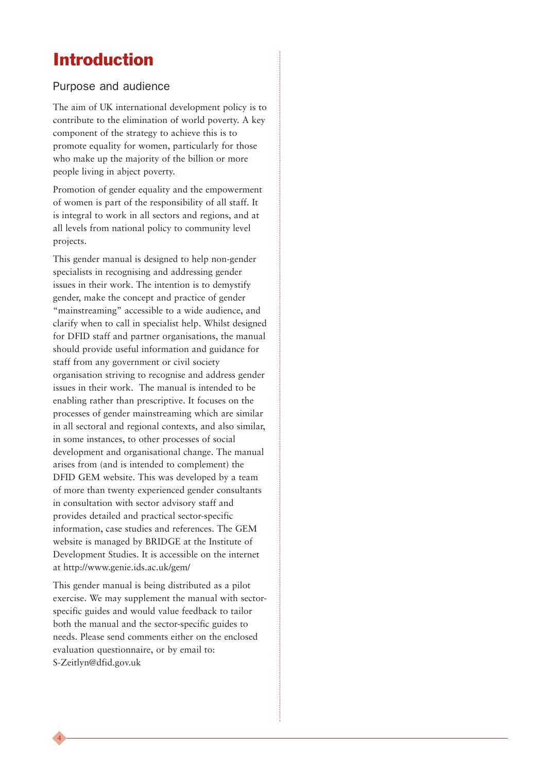### Introduction

#### Purpose and audience

The aim of UK international development policy is to contribute to the elimination of world poverty. A key component of the strategy to achieve this is to promote equality for women, particularly for those who make up the majority of the billion or more people living in abject poverty.

Promotion of gender equality and the empowerment of women is part of the responsibility of all staff. It is integral to work in all sectors and regions, and at all levels from national policy to community level projects.

This gender manual is designed to help non-gender specialists in recognising and addressing gender issues in their work. The intention is to demystify gender, make the concept and practice of gender "mainstreaming" accessible to a wide audience, and clarify when to call in specialist help. Whilst designed for DFID staff and partner organisations, the manual should provide useful information and guidance for staff from any government or civil society organisation striving to recognise and address gender issues in their work. The manual is intended to be enabling rather than prescriptive. It focuses on the processes of gender mainstreaming which are similar in all sectoral and regional contexts, and also similar, in some instances, to other processes of social development and organisational change. The manual arises from (and is intended to complement) the DFID GEM website. This was developed by a team of more than twenty experienced gender consultants in consultation with sector advisory staff and provides detailed and practical sector-specific information, case studies and references. The GEM website is managed by BRIDGE at the Institute of Development Studies. It is accessible on the internet at http://www.genie.ids.ac.uk/gem/

This gender manual is being distributed as a pilot exercise. We may supplement the manual with sectorspecific guides and would value feedback to tailor both the manual and the sector-specific guides to needs. Please send comments either on the enclosed evaluation questionnaire, or by email to: S-Zeitlyn@dfid.gov.uk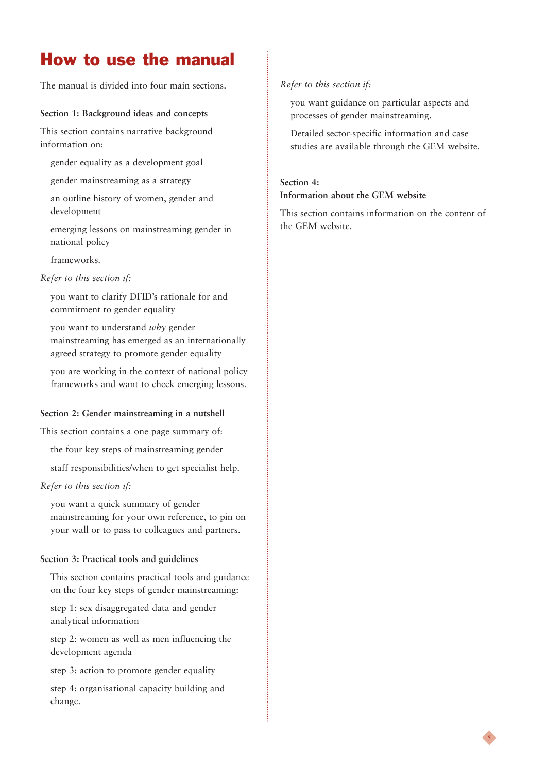### How to use the manual

The manual is divided into four main sections.

#### **Section 1: Background ideas and concepts**

This section contains narrative background information on:

- gender equality as a development goal
- gender mainstreaming as a strategy
- an outline history of women, gender and development
- emerging lessons on mainstreaming gender in national policy

frameworks.

#### *Refer to this section if:*

you want to clarify DFID's rationale for and commitment to gender equality

you want to understand *why* gender mainstreaming has emerged as an internationally agreed strategy to promote gender equality

you are working in the context of national policy frameworks and want to check emerging lessons.

#### **Section 2: Gender mainstreaming in a nutshell**

This section contains a one page summary of:

the four key steps of mainstreaming gender

staff responsibilities/when to get specialist help.

#### *Refer to this section if:*

you want a quick summary of gender mainstreaming for your own reference, to pin on your wall or to pass to colleagues and partners.

#### **Section 3: Practical tools and guidelines**

This section contains practical tools and guidance on the four key steps of gender mainstreaming:

step 1: sex disaggregated data and gender analytical information

step 2: women as well as men influencing the development agenda

step 3: action to promote gender equality

step 4: organisational capacity building and change.

#### *Refer to this section if:*

you want guidance on particular aspects and processes of gender mainstreaming.

Detailed sector-specific information and case studies are available through the GEM website.

#### **Section 4: Information about the GEM website**

This section contains information on the content of the GEM website.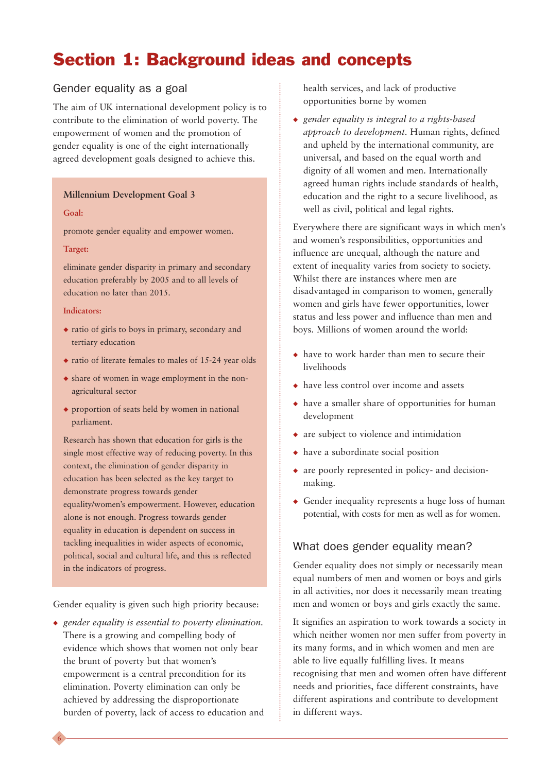### Section 1: Background ideas and concepts

#### Gender equality as a goal

The aim of UK international development policy is to contribute to the elimination of world poverty. The empowerment of women and the promotion of gender equality is one of the eight internationally agreed development goals designed to achieve this.

#### **Millennium Development Goal 3**

#### **Goal:**

promote gender equality and empower women.

#### **Target:**

eliminate gender disparity in primary and secondary education preferably by 2005 and to all levels of education no later than 2015.

#### **Indicators:**

- ◆ ratio of girls to boys in primary, secondary and tertiary education
- ◆ ratio of literate females to males of 15-24 year olds
- ◆ share of women in wage employment in the nonagricultural sector
- ◆ proportion of seats held by women in national parliament.

Research has shown that education for girls is the single most effective way of reducing poverty. In this context, the elimination of gender disparity in education has been selected as the key target to demonstrate progress towards gender equality/women's empowerment. However, education alone is not enough. Progress towards gender equality in education is dependent on success in tackling inequalities in wider aspects of economic, political, social and cultural life, and this is reflected in the indicators of progress.

Gender equality is given such high priority because:

◆ *gender equality is essential to poverty elimination.* There is a growing and compelling body of evidence which shows that women not only bear the brunt of poverty but that women's empowerment is a central precondition for its elimination. Poverty elimination can only be achieved by addressing the disproportionate burden of poverty, lack of access to education and health services, and lack of productive opportunities borne by women

◆ *gender equality is integral to a rights-based approach to development.* Human rights, defined and upheld by the international community, are universal, and based on the equal worth and dignity of all women and men. Internationally agreed human rights include standards of health, education and the right to a secure livelihood, as well as civil, political and legal rights.

Everywhere there are significant ways in which men's and women's responsibilities, opportunities and influence are unequal, although the nature and extent of inequality varies from society to society. Whilst there are instances where men are disadvantaged in comparison to women, generally women and girls have fewer opportunities, lower status and less power and influence than men and boys. Millions of women around the world:

- ◆ have to work harder than men to secure their livelihoods
- ◆ have less control over income and assets
- ◆ have a smaller share of opportunities for human development
- ◆ are subject to violence and intimidation
- ◆ have a subordinate social position
- ◆ are poorly represented in policy- and decisionmaking.
- ◆ Gender inequality represents a huge loss of human potential, with costs for men as well as for women.

#### What does gender equality mean?

Gender equality does not simply or necessarily mean equal numbers of men and women or boys and girls in all activities, nor does it necessarily mean treating men and women or boys and girls exactly the same.

It signifies an aspiration to work towards a society in which neither women nor men suffer from poverty in its many forms, and in which women and men are able to live equally fulfilling lives. It means recognising that men and women often have different needs and priorities, face different constraints, have different aspirations and contribute to development in different ways.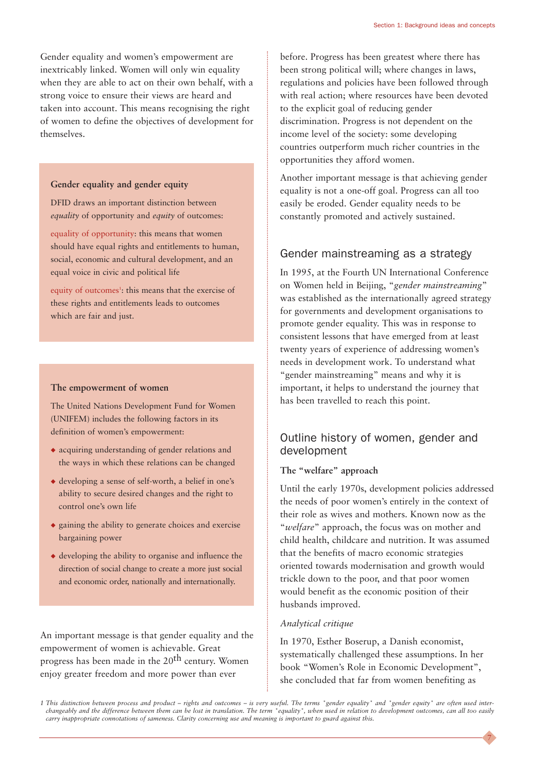Gender equality and women's empowerment are inextricably linked. Women will only win equality when they are able to act on their own behalf, with a strong voice to ensure their views are heard and taken into account. This means recognising the right of women to define the objectives of development for themselves.

#### **Gender equality and gender equity**

DFID draws an important distinction between *equality* of opportunity and *equity* of outcomes:

equality of opportunity: this means that women should have equal rights and entitlements to human, social, economic and cultural development, and an equal voice in civic and political life

equity of outcomes<sup>1</sup>: this means that the exercise of these rights and entitlements leads to outcomes which are fair and just.

#### **The empowerment of women**

The United Nations Development Fund for Women (UNIFEM) includes the following factors in its definition of women's empowerment:

- ◆ acquiring understanding of gender relations and the ways in which these relations can be changed
- ◆ developing a sense of self-worth, a belief in one's ability to secure desired changes and the right to control one's own life
- ◆ gaining the ability to generate choices and exercise bargaining power
- ◆ developing the ability to organise and influence the direction of social change to create a more just social and economic order, nationally and internationally.

An important message is that gender equality and the empowerment of women is achievable. Great progress has been made in the  $20<sup>th</sup>$  century. Women enjoy greater freedom and more power than ever

before. Progress has been greatest where there has been strong political will; where changes in laws, regulations and policies have been followed through with real action; where resources have been devoted to the explicit goal of reducing gender discrimination. Progress is not dependent on the income level of the society: some developing countries outperform much richer countries in the opportunities they afford women.

Another important message is that achieving gender equality is not a one-off goal. Progress can all too easily be eroded. Gender equality needs to be constantly promoted and actively sustained.

#### Gender mainstreaming as a strategy

In 1995, at the Fourth UN International Conference on Women held in Beijing, "*gender mainstreaming*" was established as the internationally agreed strategy for governments and development organisations to promote gender equality. This was in response to consistent lessons that have emerged from at least twenty years of experience of addressing women's needs in development work. To understand what "gender mainstreaming" means and why it is important, it helps to understand the journey that has been travelled to reach this point.

#### Outline history of women, gender and development

#### **The "welfare" approach**

Until the early 1970s, development policies addressed the needs of poor women's entirely in the context of their role as wives and mothers. Known now as the "*welfare*" approach, the focus was on mother and child health, childcare and nutrition. It was assumed that the benefits of macro economic strategies oriented towards modernisation and growth would trickle down to the poor, and that poor women would benefit as the economic position of their husbands improved.

#### *Analytical critique*

In 1970, Esther Boserup, a Danish economist, systematically challenged these assumptions. In her book "Women's Role in Economic Development", she concluded that far from women benefiting as

7

*1 This distinction between process and product – rights and outcomes – is very useful. The terms "gender equality" and "gender equity" are often used interchangeably and the difference between them can be lost in translation. The term "equality", when used in relation to development outcomes, can all too easily carry inappropriate connotations of sameness. Clarity concerning use and meaning is important to guard against this.*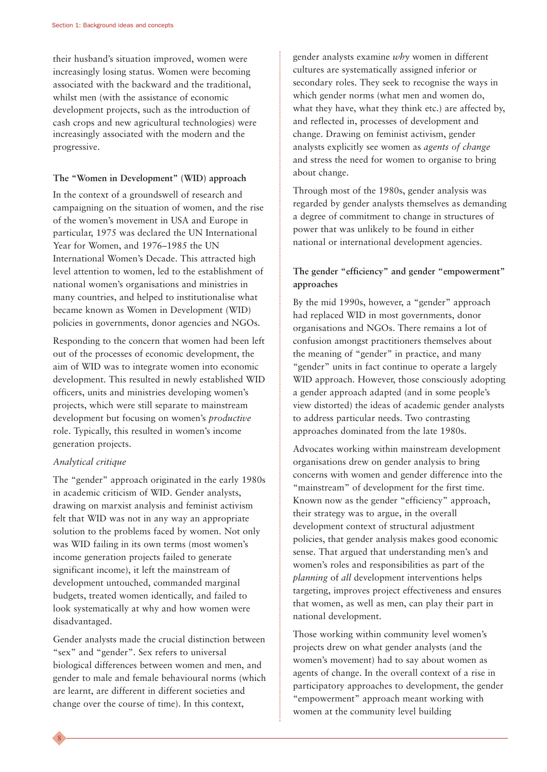their husband's situation improved, women were increasingly losing status. Women were becoming associated with the backward and the traditional, whilst men (with the assistance of economic development projects, such as the introduction of cash crops and new agricultural technologies) were increasingly associated with the modern and the progressive.

#### **The "Women in Development" (WID) approach**

In the context of a groundswell of research and campaigning on the situation of women, and the rise of the women's movement in USA and Europe in particular, 1975 was declared the UN International Year for Women, and 1976–1985 the UN International Women's Decade. This attracted high level attention to women, led to the establishment of national women's organisations and ministries in many countries, and helped to institutionalise what became known as Women in Development (WID) policies in governments, donor agencies and NGOs.

Responding to the concern that women had been left out of the processes of economic development, the aim of WID was to integrate women into economic development. This resulted in newly established WID officers, units and ministries developing women's projects, which were still separate to mainstream development but focusing on women's *productive* role. Typically, this resulted in women's income generation projects.

#### *Analytical critique*

8

The "gender" approach originated in the early 1980s in academic criticism of WID. Gender analysts, drawing on marxist analysis and feminist activism felt that WID was not in any way an appropriate solution to the problems faced by women. Not only was WID failing in its own terms (most women's income generation projects failed to generate significant income), it left the mainstream of development untouched, commanded marginal budgets, treated women identically, and failed to look systematically at why and how women were disadvantaged.

Gender analysts made the crucial distinction between "sex" and "gender". Sex refers to universal biological differences between women and men, and gender to male and female behavioural norms (which are learnt, are different in different societies and change over the course of time). In this context,

gender analysts examine *why* women in different cultures are systematically assigned inferior or secondary roles. They seek to recognise the ways in which gender norms (what men and women do, what they have, what they think etc.) are affected by, and reflected in, processes of development and change. Drawing on feminist activism, gender analysts explicitly see women as *agents of change* and stress the need for women to organise to bring about change.

Through most of the 1980s, gender analysis was regarded by gender analysts themselves as demanding a degree of commitment to change in structures of power that was unlikely to be found in either national or international development agencies.

#### **The gender "efficiency" and gender "empowerment" approaches**

By the mid 1990s, however, a "gender" approach had replaced WID in most governments, donor organisations and NGOs. There remains a lot of confusion amongst practitioners themselves about the meaning of "gender" in practice, and many "gender" units in fact continue to operate a largely WID approach. However, those consciously adopting a gender approach adapted (and in some people's view distorted) the ideas of academic gender analysts to address particular needs. Two contrasting approaches dominated from the late 1980s.

Advocates working within mainstream development organisations drew on gender analysis to bring concerns with women and gender difference into the "mainstream" of development for the first time. Known now as the gender "efficiency" approach, their strategy was to argue, in the overall development context of structural adjustment policies, that gender analysis makes good economic sense. That argued that understanding men's and women's roles and responsibilities as part of the *planning* of *all* development interventions helps targeting, improves project effectiveness and ensures that women, as well as men, can play their part in national development.

Those working within community level women's projects drew on what gender analysts (and the women's movement) had to say about women as agents of change. In the overall context of a rise in participatory approaches to development, the gender "empowerment" approach meant working with women at the community level building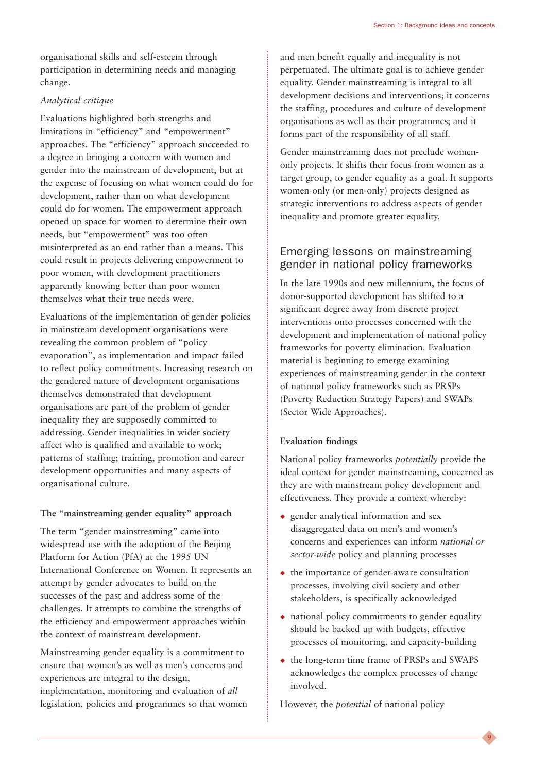organisational skills and self-esteem through participation in determining needs and managing change.

#### *Analytical critique*

Evaluations highlighted both strengths and limitations in "efficiency" and "empowerment" approaches. The "efficiency" approach succeeded to a degree in bringing a concern with women and gender into the mainstream of development, but at the expense of focusing on what women could do for development, rather than on what development could do for women. The empowerment approach opened up space for women to determine their own needs, but "empowerment" was too often misinterpreted as an end rather than a means. This could result in projects delivering empowerment to poor women, with development practitioners apparently knowing better than poor women themselves what their true needs were.

Evaluations of the implementation of gender policies in mainstream development organisations were revealing the common problem of "policy evaporation", as implementation and impact failed to reflect policy commitments. Increasing research on the gendered nature of development organisations themselves demonstrated that development organisations are part of the problem of gender inequality they are supposedly committed to addressing. Gender inequalities in wider society affect who is qualified and available to work; patterns of staffing; training, promotion and career development opportunities and many aspects of organisational culture.

#### **The "mainstreaming gender equality" approach**

The term "gender mainstreaming" came into widespread use with the adoption of the Beijing Platform for Action (PfA) at the 1995 UN International Conference on Women. It represents an attempt by gender advocates to build on the successes of the past and address some of the challenges. It attempts to combine the strengths of the efficiency and empowerment approaches within the context of mainstream development.

Mainstreaming gender equality is a commitment to ensure that women's as well as men's concerns and experiences are integral to the design, implementation, monitoring and evaluation of *all* legislation, policies and programmes so that women and men benefit equally and inequality is not perpetuated. The ultimate goal is to achieve gender equality. Gender mainstreaming is integral to all development decisions and interventions; it concerns the staffing, procedures and culture of development organisations as well as their programmes; and it forms part of the responsibility of all staff.

Gender mainstreaming does not preclude womenonly projects. It shifts their focus from women as a target group, to gender equality as a goal. It supports women-only (or men-only) projects designed as strategic interventions to address aspects of gender inequality and promote greater equality.

#### Emerging lessons on mainstreaming gender in national policy frameworks

In the late 1990s and new millennium, the focus of donor-supported development has shifted to a significant degree away from discrete project interventions onto processes concerned with the development and implementation of national policy frameworks for poverty elimination. Evaluation material is beginning to emerge examining experiences of mainstreaming gender in the context of national policy frameworks such as PRSPs (Poverty Reduction Strategy Papers) and SWAPs (Sector Wide Approaches).

#### **Evaluation findings**

National policy frameworks *potentially* provide the ideal context for gender mainstreaming, concerned as they are with mainstream policy development and effectiveness. They provide a context whereby:

- ◆ gender analytical information and sex disaggregated data on men's and women's concerns and experiences can inform *national or sector-wide* policy and planning processes
- ◆ the importance of gender-aware consultation processes, involving civil society and other stakeholders, is specifically acknowledged
- ◆ national policy commitments to gender equality should be backed up with budgets, effective processes of monitoring, and capacity-building
- ◆ the long-term time frame of PRSPs and SWAPS acknowledges the complex processes of change involved.

9

However, the *potential* of national policy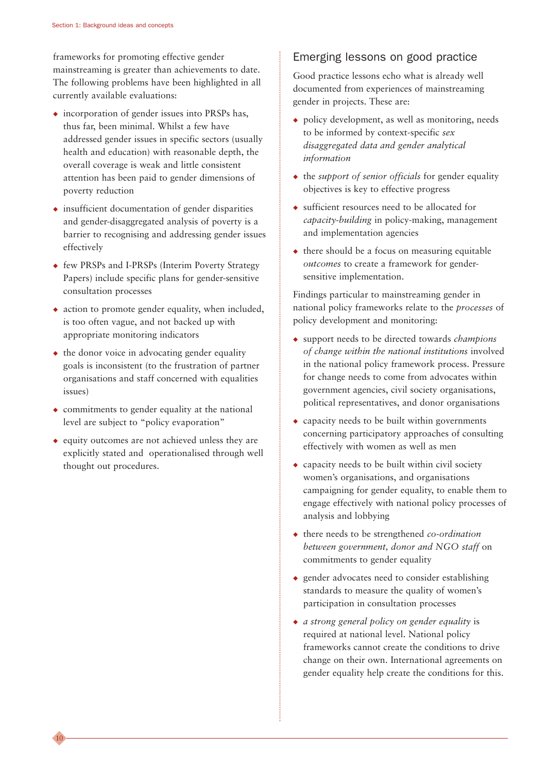frameworks for promoting effective gender mainstreaming is greater than achievements to date. The following problems have been highlighted in all currently available evaluations:

- ◆ incorporation of gender issues into PRSPs has, thus far, been minimal. Whilst a few have addressed gender issues in specific sectors (usually health and education) with reasonable depth, the overall coverage is weak and little consistent attention has been paid to gender dimensions of poverty reduction
- ◆ insufficient documentation of gender disparities and gender-disaggregated analysis of poverty is a barrier to recognising and addressing gender issues effectively
- ◆ few PRSPs and I-PRSPs (Interim Poverty Strategy Papers) include specific plans for gender-sensitive consultation processes
- ◆ action to promote gender equality, when included, is too often vague, and not backed up with appropriate monitoring indicators
- $\bullet$  the donor voice in advocating gender equality goals is inconsistent (to the frustration of partner organisations and staff concerned with equalities issues)
- $\bullet$  commitments to gender equality at the national level are subject to "policy evaporation"
- ◆ equity outcomes are not achieved unless they are explicitly stated and operationalised through well thought out procedures.

10

### Emerging lessons on good practice

Good practice lessons echo what is already well documented from experiences of mainstreaming gender in projects. These are:

- ◆ policy development, as well as monitoring, needs to be informed by context-specific *sex disaggregated data and gender analytical information*
- ◆ the *support of senior officials* for gender equality objectives is key to effective progress
- ◆ sufficient resources need to be allocated for *capacity-building* in policy-making, management and implementation agencies
- $\bullet$  there should be a focus on measuring equitable *outcomes* to create a framework for gendersensitive implementation.

Findings particular to mainstreaming gender in national policy frameworks relate to the *processes* of policy development and monitoring:

- ◆ support needs to be directed towards *champions of change within the national institutions* involved in the national policy framework process. Pressure for change needs to come from advocates within government agencies, civil society organisations, political representatives, and donor organisations
- ◆ capacity needs to be built within governments concerning participatory approaches of consulting effectively with women as well as men
- $\bullet$  capacity needs to be built within civil society women's organisations, and organisations campaigning for gender equality, to enable them to engage effectively with national policy processes of analysis and lobbying
- ◆ there needs to be strengthened *co-ordination between government, donor and NGO staff* on commitments to gender equality
- ◆ gender advocates need to consider establishing standards to measure the quality of women's participation in consultation processes
- ◆ *a strong general policy on gender equality* is required at national level. National policy frameworks cannot create the conditions to drive change on their own. International agreements on gender equality help create the conditions for this.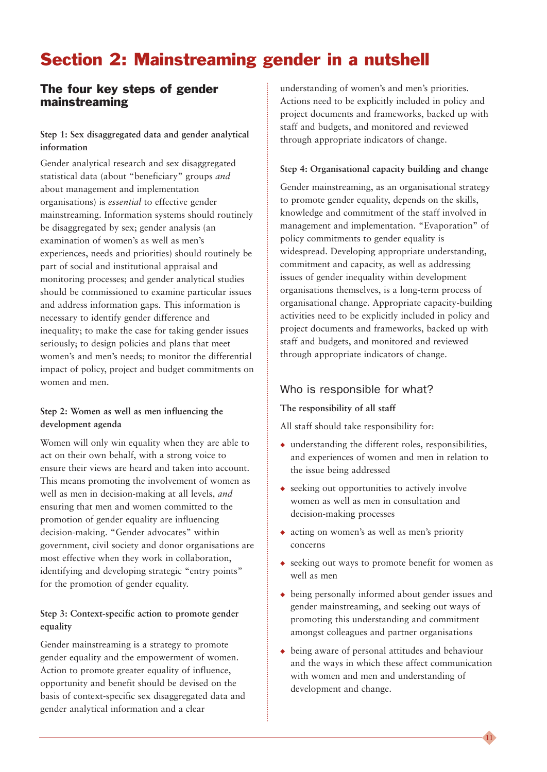### Section 2: Mainstreaming gender in a nutshell

#### The four key steps of gender mainstreaming

#### **Step 1: Sex disaggregated data and gender analytical information**

Gender analytical research and sex disaggregated statistical data (about "beneficiary" groups *and* about management and implementation organisations) is *essential* to effective gender mainstreaming. Information systems should routinely be disaggregated by sex; gender analysis (an examination of women's as well as men's experiences, needs and priorities) should routinely be part of social and institutional appraisal and monitoring processes; and gender analytical studies should be commissioned to examine particular issues and address information gaps. This information is necessary to identify gender difference and inequality; to make the case for taking gender issues seriously; to design policies and plans that meet women's and men's needs; to monitor the differential impact of policy, project and budget commitments on women and men.

#### **Step 2: Women as well as men influencing the development agenda**

Women will only win equality when they are able to act on their own behalf, with a strong voice to ensure their views are heard and taken into account. This means promoting the involvement of women as well as men in decision-making at all levels, *and* ensuring that men and women committed to the promotion of gender equality are influencing decision-making. "Gender advocates" within government, civil society and donor organisations are most effective when they work in collaboration, identifying and developing strategic "entry points" for the promotion of gender equality.

#### **Step 3: Context-specific action to promote gender equality**

Gender mainstreaming is a strategy to promote gender equality and the empowerment of women. Action to promote greater equality of influence, opportunity and benefit should be devised on the basis of context-specific sex disaggregated data and gender analytical information and a clear

understanding of women's and men's priorities. Actions need to be explicitly included in policy and project documents and frameworks, backed up with staff and budgets, and monitored and reviewed through appropriate indicators of change.

#### **Step 4: Organisational capacity building and change**

Gender mainstreaming, as an organisational strategy to promote gender equality, depends on the skills, knowledge and commitment of the staff involved in management and implementation. "Evaporation" of policy commitments to gender equality is widespread. Developing appropriate understanding, commitment and capacity, as well as addressing issues of gender inequality within development organisations themselves, is a long-term process of organisational change. Appropriate capacity-building activities need to be explicitly included in policy and project documents and frameworks, backed up with staff and budgets, and monitored and reviewed through appropriate indicators of change.

#### Who is responsible for what?

#### **The responsibility of all staff**

All staff should take responsibility for:

- $\bullet$  understanding the different roles, responsibilities, and experiences of women and men in relation to the issue being addressed
- ◆ seeking out opportunities to actively involve women as well as men in consultation and decision-making processes
- ◆ acting on women's as well as men's priority concerns
- ◆ seeking out ways to promote benefit for women as well as men
- ◆ being personally informed about gender issues and gender mainstreaming, and seeking out ways of promoting this understanding and commitment amongst colleagues and partner organisations
- ◆ being aware of personal attitudes and behaviour and the ways in which these affect communication with women and men and understanding of development and change.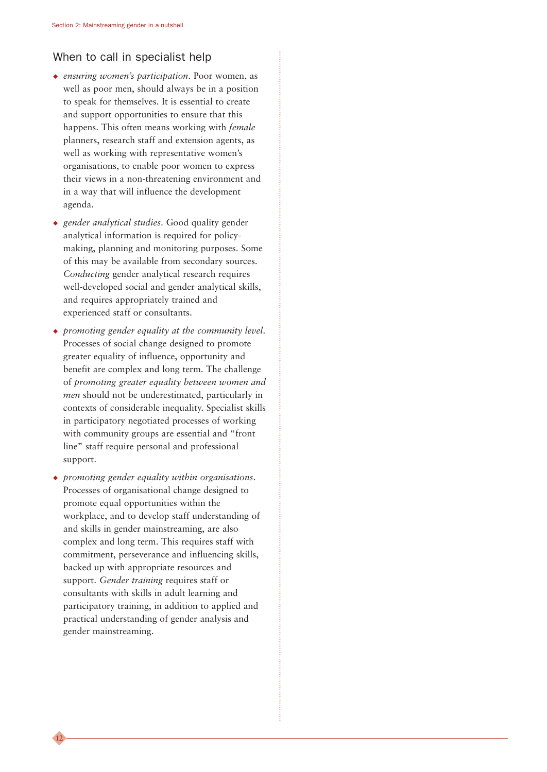#### When to call in specialist help

- ◆ *ensuring women's participation*. Poor women, as well as poor men, should always be in a position to speak for themselves. It is essential to create and support opportunities to ensure that this happens. This often means working with *female* planners, research staff and extension agents, as well as working with representative women's organisations, to enable poor women to express their views in a non-threatening environment and in a way that will influence the development agenda.
- ◆ *gender analytical studies*. Good quality gender analytical information is required for policymaking, planning and monitoring purposes. Some of this may be available from secondary sources. *Conducting* gender analytical research requires well-developed social and gender analytical skills, and requires appropriately trained and experienced staff or consultants.
- ◆ *promoting gender equality at the community level*. Processes of social change designed to promote greater equality of influence, opportunity and benefit are complex and long term. The challenge of *promoting greater equality between women and men* should not be underestimated, particularly in contexts of considerable inequality. Specialist skills in participatory negotiated processes of working with community groups are essential and "front line" staff require personal and professional support.
- ◆ *promoting gender equality within organisations*. Processes of organisational change designed to promote equal opportunities within the workplace, and to develop staff understanding of and skills in gender mainstreaming, are also complex and long term. This requires staff with commitment, perseverance and influencing skills, backed up with appropriate resources and support. *Gender training* requires staff or consultants with skills in adult learning and participatory training, in addition to applied and practical understanding of gender analysis and gender mainstreaming.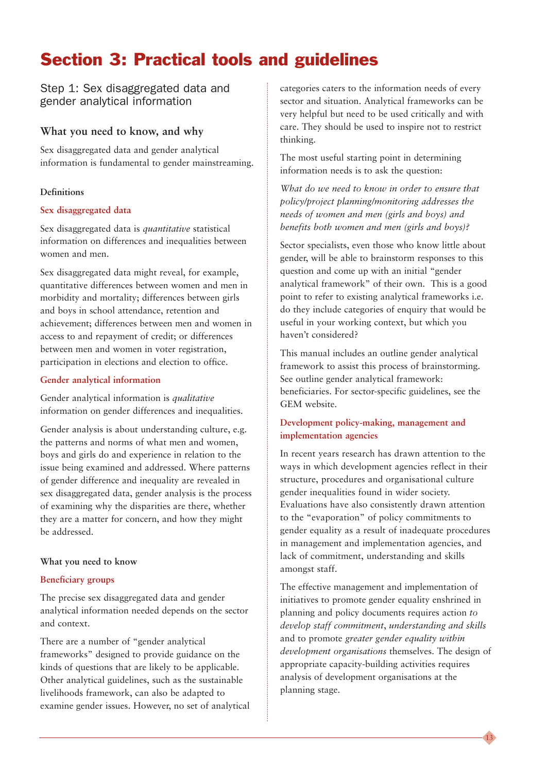### Section 3: Practical tools and guidelines

Step 1: Sex disaggregated data and gender analytical information

#### **What you need to know, and why**

Sex disaggregated data and gender analytical information is fundamental to gender mainstreaming.

#### **Definitions**

#### **Sex disaggregated data**

Sex disaggregated data is *quantitative* statistical information on differences and inequalities between women and men.

Sex disaggregated data might reveal, for example, quantitative differences between women and men in morbidity and mortality; differences between girls and boys in school attendance, retention and achievement; differences between men and women in access to and repayment of credit; or differences between men and women in voter registration, participation in elections and election to office.

#### **Gender analytical information**

Gender analytical information is *qualitative* information on gender differences and inequalities.

Gender analysis is about understanding culture, e.g. the patterns and norms of what men and women, boys and girls do and experience in relation to the issue being examined and addressed. Where patterns of gender difference and inequality are revealed in sex disaggregated data, gender analysis is the process of examining why the disparities are there, whether they are a matter for concern, and how they might be addressed.

#### **What you need to know**

#### **Beneficiary groups**

The precise sex disaggregated data and gender analytical information needed depends on the sector and context.

There are a number of "gender analytical frameworks" designed to provide guidance on the kinds of questions that are likely to be applicable. Other analytical guidelines, such as the sustainable livelihoods framework, can also be adapted to examine gender issues. However, no set of analytical

categories caters to the information needs of every sector and situation. Analytical frameworks can be very helpful but need to be used critically and with care. They should be used to inspire not to restrict thinking.

The most useful starting point in determining information needs is to ask the question:

*What do we need to know in order to ensure that policy/project planning/monitoring addresses the needs of women and men (girls and boys) and benefits both women and men (girls and boys)?*

Sector specialists, even those who know little about gender, will be able to brainstorm responses to this question and come up with an initial "gender analytical framework" of their own. This is a good point to refer to existing analytical frameworks i.e. do they include categories of enquiry that would be useful in your working context, but which you haven't considered?

This manual includes an outline gender analytical framework to assist this process of brainstorming. See outline gender analytical framework: beneficiaries. For sector-specific guidelines, see the GEM website.

#### **Development policy-making, management and implementation agencies**

In recent years research has drawn attention to the ways in which development agencies reflect in their structure, procedures and organisational culture gender inequalities found in wider society. Evaluations have also consistently drawn attention to the "evaporation" of policy commitments to gender equality as a result of inadequate procedures in management and implementation agencies, and lack of commitment, understanding and skills amongst staff.

The effective management and implementation of initiatives to promote gender equality enshrined in planning and policy documents requires action *to develop staff commitment*, *understanding and skills* and to promote *greater gender equality within development organisations* themselves. The design of appropriate capacity-building activities requires analysis of development organisations at the planning stage.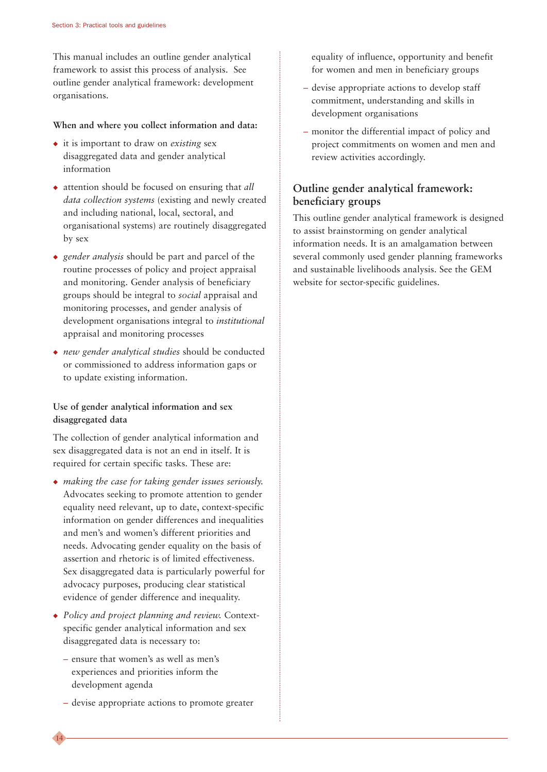This manual includes an outline gender analytical framework to assist this process of analysis. See outline gender analytical framework: development organisations.

#### **When and where you collect information and data:**

- ◆ it is important to draw on *existing* sex disaggregated data and gender analytical information
- ◆ attention should be focused on ensuring that *all data collection systems* (existing and newly created and including national, local, sectoral, and organisational systems) are routinely disaggregated by sex
- ◆ *gender analysis* should be part and parcel of the routine processes of policy and project appraisal and monitoring. Gender analysis of beneficiary groups should be integral to *social* appraisal and monitoring processes, and gender analysis of development organisations integral to *institutional* appraisal and monitoring processes
- ◆ *new gender analytical studies* should be conducted or commissioned to address information gaps or to update existing information.

#### **Use of gender analytical information and sex disaggregated data**

The collection of gender analytical information and sex disaggregated data is not an end in itself. It is required for certain specific tasks. These are:

- ◆ *making the case for taking gender issues seriously.* Advocates seeking to promote attention to gender equality need relevant, up to date, context-specific information on gender differences and inequalities and men's and women's different priorities and needs. Advocating gender equality on the basis of assertion and rhetoric is of limited effectiveness. Sex disaggregated data is particularly powerful for advocacy purposes, producing clear statistical evidence of gender difference and inequality.
- ◆ *Policy and project planning and review.* Contextspecific gender analytical information and sex disaggregated data is necessary to:
	- ensure that women's as well as men's experiences and priorities inform the development agenda

14

– devise appropriate actions to promote greater

equality of influence, opportunity and benefit for women and men in beneficiary groups

- devise appropriate actions to develop staff commitment, understanding and skills in development organisations
- monitor the differential impact of policy and project commitments on women and men and review activities accordingly.

#### **Outline gender analytical framework: beneficiary groups**

This outline gender analytical framework is designed to assist brainstorming on gender analytical information needs. It is an amalgamation between several commonly used gender planning frameworks and sustainable livelihoods analysis. See the GEM website for sector-specific guidelines.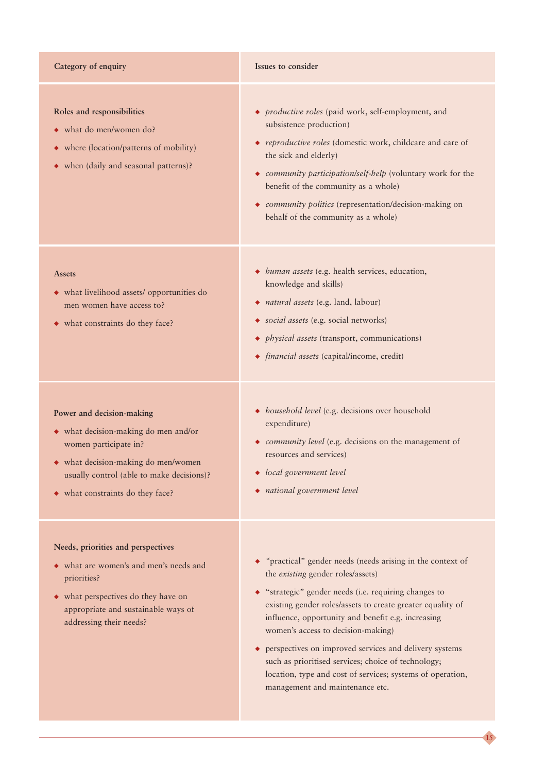#### **Category of enquiry Issues to consider**

- **Roles and responsibilities**
- ◆ what do men/women do?
- ◆ where (location/patterns of mobility)
- ◆ when (daily and seasonal patterns)?
- ◆ *productive roles* (paid work, self-employment, and subsistence production)
- ◆ *reproductive roles* (domestic work, childcare and care of the sick and elderly)
- ◆ *community participation/self-help* (voluntary work for the benefit of the community as a whole)
- ◆ *community politics* (representation/decision-making on behalf of the community as a whole)

- **Assets**
- ◆ what livelihood assets/ opportunities do men women have access to?
- ◆ what constraints do they face?

#### **Power and decision-making**

- ◆ what decision-making do men and/or women participate in?
- ◆ what decision-making do men/women usually control (able to make decisions)?
- ◆ what constraints do they face?

#### **Needs, priorities and perspectives**

- ◆ what are women's and men's needs and priorities?
- ◆ what perspectives do they have on appropriate and sustainable ways of addressing their needs?
- ◆ *human assets* (e.g. health services, education, knowledge and skills)
- ◆ *natural assets* (e.g. land, labour)
- ◆ *social assets* (e.g. social networks)
- ◆ *physical assets* (transport, communications)
- ◆ *financial assets* (capital/income, credit)
- ◆ *household level* (e.g. decisions over household expenditure)
- ◆ *community level* (e.g. decisions on the management of resources and services)
- ◆ *local government level*
- ◆ *national government level*
- ◆ *"*practical" gender needs (needs arising in the context of the *existing* gender roles/assets)
- ◆ "strategic" gender needs (i.e. requiring changes to existing gender roles/assets to create greater equality of influence, opportunity and benefit e.g. increasing women's access to decision-making)
- ◆ perspectives on improved services and delivery systems such as prioritised services; choice of technology; location, type and cost of services; systems of operation, management and maintenance etc.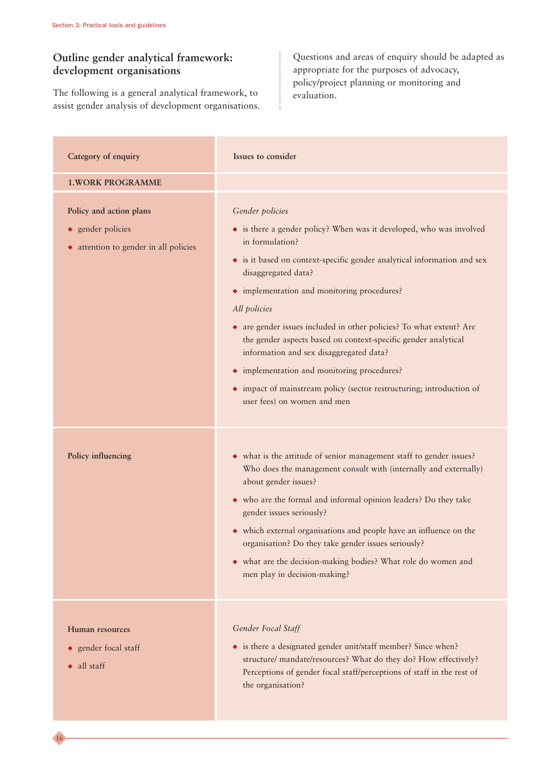16

#### **Outline gender analytical framework: development organisations**

The following is a general analytical framework, to assist gender analysis of development organisations.

Questions and areas of enquiry should be adapted as appropriate for the purposes of advocacy, policy/project planning or monitoring and evaluation.

| Category of enquiry                                                                   | Issues to consider                                                                                                                                                                                                                                                                                                                                                                                                                                                                                                                                                                                                   |
|---------------------------------------------------------------------------------------|----------------------------------------------------------------------------------------------------------------------------------------------------------------------------------------------------------------------------------------------------------------------------------------------------------------------------------------------------------------------------------------------------------------------------------------------------------------------------------------------------------------------------------------------------------------------------------------------------------------------|
| <b>1. WORK PROGRAMME</b>                                                              |                                                                                                                                                                                                                                                                                                                                                                                                                                                                                                                                                                                                                      |
| Policy and action plans<br>◆ gender policies<br>• attention to gender in all policies | Gender policies<br>• is there a gender policy? When was it developed, who was involved<br>in formulation?<br>• is it based on context-specific gender analytical information and sex<br>disaggregated data?<br>• implementation and monitoring procedures?<br>All policies<br>• are gender issues included in other policies? To what extent? Are<br>the gender aspects based on context-specific gender analytical<br>information and sex disaggregated data?<br>• implementation and monitoring procedures?<br>• impact of mainstream policy (sector restructuring; introduction of<br>user fees) on women and men |
| Policy influencing                                                                    | • what is the attitude of senior management staff to gender issues?<br>Who does the management consult with (internally and externally)<br>about gender issues?<br>• who are the formal and informal opinion leaders? Do they take<br>gender issues seriously?<br>• which external organisations and people have an influence on the<br>organisation? Do they take gender issues seriously?<br>• what are the decision-making bodies? What role do women and<br>men play in decision-making?                                                                                                                         |
| Human resources<br>◆ gender focal staff<br>$\bullet$ all staff                        | Gender Focal Staff<br>• is there a designated gender unit/staff member? Since when?<br>structure/ mandate/resources? What do they do? How effectively?<br>Perceptions of gender focal staff/perceptions of staff in the rest of<br>the organisation?                                                                                                                                                                                                                                                                                                                                                                 |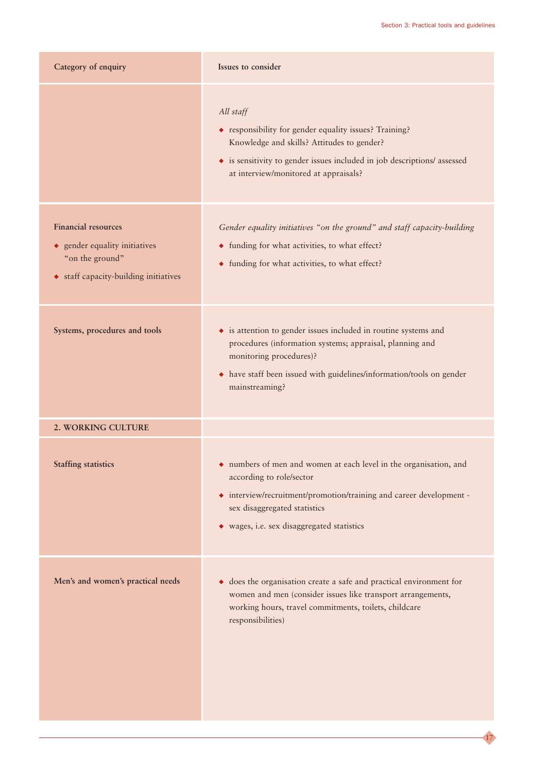| Category of enquiry                                                                                                     | Issues to consider                                                                                                                                                                                                                                 |
|-------------------------------------------------------------------------------------------------------------------------|----------------------------------------------------------------------------------------------------------------------------------------------------------------------------------------------------------------------------------------------------|
|                                                                                                                         | All staff<br>• responsibility for gender equality issues? Training?<br>Knowledge and skills? Attitudes to gender?<br>• is sensitivity to gender issues included in job descriptions/ assessed<br>at interview/monitored at appraisals?             |
| <b>Financial resources</b><br>• gender equality initiatives<br>"on the ground"<br>• staff capacity-building initiatives | Gender equality initiatives "on the ground" and staff capacity-building<br>• funding for what activities, to what effect?<br>• funding for what activities, to what effect?                                                                        |
| Systems, procedures and tools                                                                                           | • is attention to gender issues included in routine systems and<br>procedures (information systems; appraisal, planning and<br>monitoring procedures)?<br>• have staff been issued with guidelines/information/tools on gender<br>mainstreaming?   |
| 2. WORKING CULTURE                                                                                                      |                                                                                                                                                                                                                                                    |
| <b>Staffing statistics</b>                                                                                              | • numbers of men and women at each level in the organisation, and<br>according to role/sector<br>• interview/recruitment/promotion/training and career development -<br>sex disaggregated statistics<br>• wages, i.e. sex disaggregated statistics |
| Men's and women's practical needs                                                                                       | does the organisation create a safe and practical environment for<br>٠<br>women and men (consider issues like transport arrangements,<br>working hours, travel commitments, toilets, childcare<br>responsibilities)                                |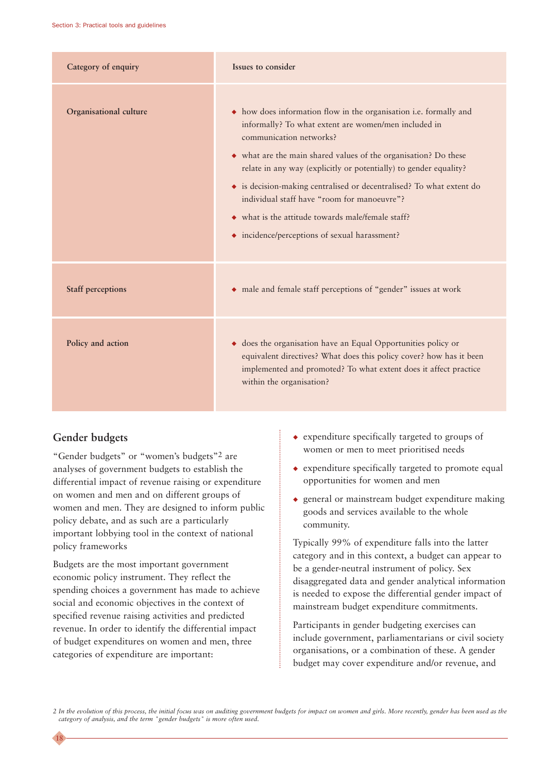| Category of enquiry      | Issues to consider                                                                                                                                                                                                                                                                                                                                                                                                                                                                                                        |
|--------------------------|---------------------------------------------------------------------------------------------------------------------------------------------------------------------------------------------------------------------------------------------------------------------------------------------------------------------------------------------------------------------------------------------------------------------------------------------------------------------------------------------------------------------------|
| Organisational culture   | • how does information flow in the organisation i.e. formally and<br>informally? To what extent are women/men included in<br>communication networks?<br>• what are the main shared values of the organisation? Do these<br>relate in any way (explicitly or potentially) to gender equality?<br>• is decision-making centralised or decentralised? To what extent do<br>individual staff have "room for manoeuvre"?<br>• what is the attitude towards male/female staff?<br>• incidence/perceptions of sexual harassment? |
| <b>Staff perceptions</b> | • male and female staff perceptions of "gender" issues at work                                                                                                                                                                                                                                                                                                                                                                                                                                                            |
| Policy and action        | • does the organisation have an Equal Opportunities policy or<br>equivalent directives? What does this policy cover? how has it been<br>implemented and promoted? To what extent does it affect practice<br>within the organisation?                                                                                                                                                                                                                                                                                      |

#### **Gender budgets**

18

"Gender budgets" or "women's budgets"2 are analyses of government budgets to establish the differential impact of revenue raising or expenditure on women and men and on different groups of women and men. They are designed to inform public policy debate, and as such are a particularly important lobbying tool in the context of national policy frameworks

Budgets are the most important government economic policy instrument. They reflect the spending choices a government has made to achieve social and economic objectives in the context of specified revenue raising activities and predicted revenue. In order to identify the differential impact of budget expenditures on women and men, three categories of expenditure are important:

- ◆ expenditure specifically targeted to groups of women or men to meet prioritised needs
- ◆ expenditure specifically targeted to promote equal opportunities for women and men
- ◆ general or mainstream budget expenditure making goods and services available to the whole community.

Typically 99% of expenditure falls into the latter category and in this context, a budget can appear to be a gender-neutral instrument of policy. Sex disaggregated data and gender analytical information is needed to expose the differential gender impact of mainstream budget expenditure commitments.

Participants in gender budgeting exercises can include government, parliamentarians or civil society organisations, or a combination of these. A gender budget may cover expenditure and/or revenue, and

*2 In the evolution of this process, the initial focus was on auditing government budgets for impact on women and girls. More recently, gender has been used as the category of analysis, and the term "gender budgets" is more often used.*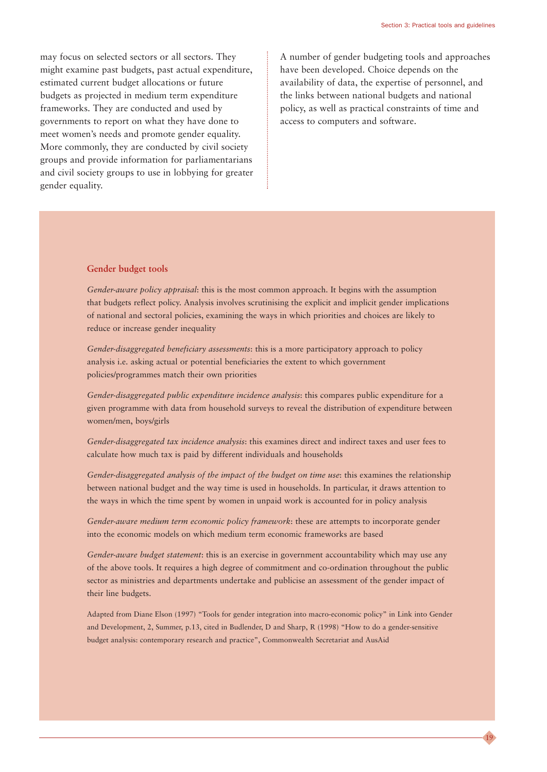19

may focus on selected sectors or all sectors. They might examine past budgets, past actual expenditure, estimated current budget allocations or future budgets as projected in medium term expenditure frameworks. They are conducted and used by governments to report on what they have done to meet women's needs and promote gender equality. More commonly, they are conducted by civil society groups and provide information for parliamentarians and civil society groups to use in lobbying for greater gender equality.

A number of gender budgeting tools and approaches have been developed. Choice depends on the availability of data, the expertise of personnel, and the links between national budgets and national policy, as well as practical constraints of time and access to computers and software.

#### **Gender budget tools**

*Gender-aware policy appraisal*: this is the most common approach. It begins with the assumption that budgets reflect policy. Analysis involves scrutinising the explicit and implicit gender implications of national and sectoral policies, examining the ways in which priorities and choices are likely to reduce or increase gender inequality

*Gender-disaggregated beneficiary assessments*: this is a more participatory approach to policy analysis i.e. asking actual or potential beneficiaries the extent to which government policies/programmes match their own priorities

*Gender-disaggregated public expenditure incidence analysis*: this compares public expenditure for a given programme with data from household surveys to reveal the distribution of expenditure between women/men, boys/girls

*Gender-disaggregated tax incidence analysis*: this examines direct and indirect taxes and user fees to calculate how much tax is paid by different individuals and households

*Gender-disaggregated analysis of the impact of the budget on time use*: this examines the relationship between national budget and the way time is used in households. In particular, it draws attention to the ways in which the time spent by women in unpaid work is accounted for in policy analysis

*Gender-aware medium term economic policy framework*: these are attempts to incorporate gender into the economic models on which medium term economic frameworks are based

*Gender-aware budget statement*: this is an exercise in government accountability which may use any of the above tools. It requires a high degree of commitment and co-ordination throughout the public sector as ministries and departments undertake and publicise an assessment of the gender impact of their line budgets.

Adapted from Diane Elson (1997) "Tools for gender integration into macro-economic policy" in Link into Gender and Development, 2, Summer, p.13, cited in Budlender, D and Sharp, R (1998) "How to do a gender-sensitive budget analysis: contemporary research and practice", Commonwealth Secretariat and AusAid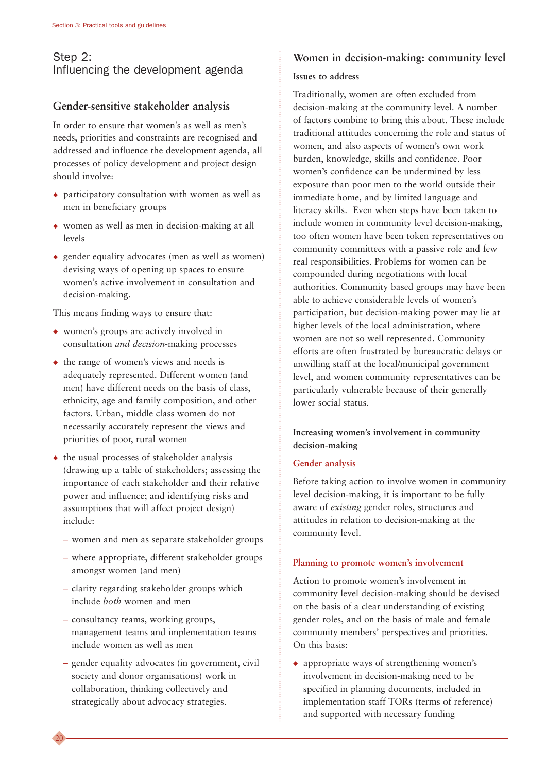#### Step 2: Influencing the development agenda

#### **Gender-sensitive stakeholder analysis**

In order to ensure that women's as well as men's needs, priorities and constraints are recognised and addressed and influence the development agenda, all processes of policy development and project design should involve:

- ◆ participatory consultation with women as well as men in beneficiary groups
- ◆ women as well as men in decision-making at all levels
- ◆ gender equality advocates (men as well as women) devising ways of opening up spaces to ensure women's active involvement in consultation and decision-making.

This means finding ways to ensure that:

- ◆ women's groups are actively involved in consultation *and decision*-making processes
- ◆ the range of women's views and needs is adequately represented. Different women (and men) have different needs on the basis of class, ethnicity, age and family composition, and other factors. Urban, middle class women do not necessarily accurately represent the views and priorities of poor, rural women
- ◆ the usual processes of stakeholder analysis (drawing up a table of stakeholders; assessing the importance of each stakeholder and their relative power and influence; and identifying risks and assumptions that will affect project design) include:
	- women and men as separate stakeholder groups
	- where appropriate, different stakeholder groups amongst women (and men)
	- clarity regarding stakeholder groups which include *both* women and men
	- consultancy teams, working groups, management teams and implementation teams include women as well as men
	- gender equality advocates (in government, civil society and donor organisations) work in collaboration, thinking collectively and strategically about advocacy strategies.

#### **Women in decision-making: community level**

#### **Issues to address**

Traditionally, women are often excluded from decision-making at the community level. A number of factors combine to bring this about. These include traditional attitudes concerning the role and status of women, and also aspects of women's own work burden, knowledge, skills and confidence. Poor women's confidence can be undermined by less exposure than poor men to the world outside their immediate home, and by limited language and literacy skills. Even when steps have been taken to include women in community level decision-making, too often women have been token representatives on community committees with a passive role and few real responsibilities. Problems for women can be compounded during negotiations with local authorities. Community based groups may have been able to achieve considerable levels of women's participation, but decision-making power may lie at higher levels of the local administration, where women are not so well represented. Community efforts are often frustrated by bureaucratic delays or unwilling staff at the local/municipal government level, and women community representatives can be particularly vulnerable because of their generally lower social status.

#### **Increasing women's involvement in community decision-making**

#### **Gender analysis**

Before taking action to involve women in community level decision-making, it is important to be fully aware of *existing* gender roles, structures and attitudes in relation to decision-making at the community level.

#### **Planning to promote women's involvement**

Action to promote women's involvement in community level decision-making should be devised on the basis of a clear understanding of existing gender roles, and on the basis of male and female community members' perspectives and priorities. On this basis:

◆ appropriate ways of strengthening women's involvement in decision-making need to be specified in planning documents, included in implementation staff TORs (terms of reference) and supported with necessary funding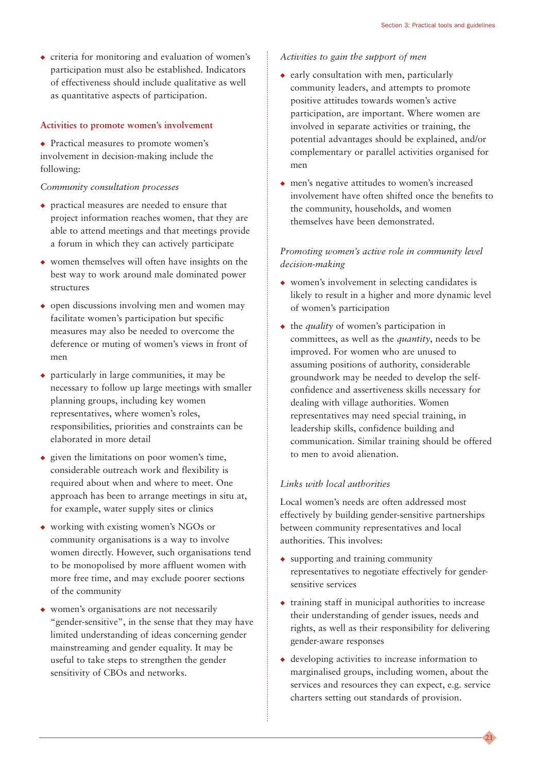◆ criteria for monitoring and evaluation of women's participation must also be established. Indicators of effectiveness should include qualitative as well as quantitative aspects of participation.

#### **Activities to promote women's involvement**

◆ Practical measures to promote women's involvement in decision-making include the following:

#### *Community consultation processes*

- ◆ practical measures are needed to ensure that project information reaches women, that they are able to attend meetings and that meetings provide a forum in which they can actively participate
- ◆ women themselves will often have insights on the best way to work around male dominated power structures
- ◆ open discussions involving men and women may facilitate women's participation but specific measures may also be needed to overcome the deference or muting of women's views in front of men
- ◆ particularly in large communities, it may be necessary to follow up large meetings with smaller planning groups, including key women representatives, where women's roles, responsibilities, priorities and constraints can be elaborated in more detail
- ◆ given the limitations on poor women's time, considerable outreach work and flexibility is required about when and where to meet. One approach has been to arrange meetings in situ at, for example, water supply sites or clinics
- ◆ working with existing women's NGOs or community organisations is a way to involve women directly. However, such organisations tend to be monopolised by more affluent women with more free time, and may exclude poorer sections of the community
- women's organisations are not necessarily "gender-sensitive", in the sense that they may have limited understanding of ideas concerning gender mainstreaming and gender equality. It may be useful to take steps to strengthen the gender sensitivity of CBOs and networks.

#### *Activities to gain the support of men*

- ◆ early consultation with men, particularly community leaders, and attempts to promote positive attitudes towards women's active participation, are important. Where women are involved in separate activities or training, the potential advantages should be explained, and/or complementary or parallel activities organised for men
- ◆ men's negative attitudes to women's increased involvement have often shifted once the benefits to the community, households, and women themselves have been demonstrated.

#### *Promoting women's active role in community level decision-making*

- ◆ women's involvement in selecting candidates is likely to result in a higher and more dynamic level of women's participation
- ◆ the *quality* of women's participation in committees, as well as the *quantity*, needs to be improved. For women who are unused to assuming positions of authority, considerable groundwork may be needed to develop the selfconfidence and assertiveness skills necessary for dealing with village authorities. Women representatives may need special training, in leadership skills, confidence building and communication. Similar training should be offered to men to avoid alienation.

#### *Links with local authorities*

Local women's needs are often addressed most effectively by building gender-sensitive partnerships between community representatives and local authorities. This involves:

- ◆ supporting and training community representatives to negotiate effectively for gendersensitive services
- ◆ training staff in municipal authorities to increase their understanding of gender issues, needs and rights, as well as their responsibility for delivering gender-aware responses
- ◆ developing activities to increase information to marginalised groups, including women, about the services and resources they can expect, e.g. service charters setting out standards of provision.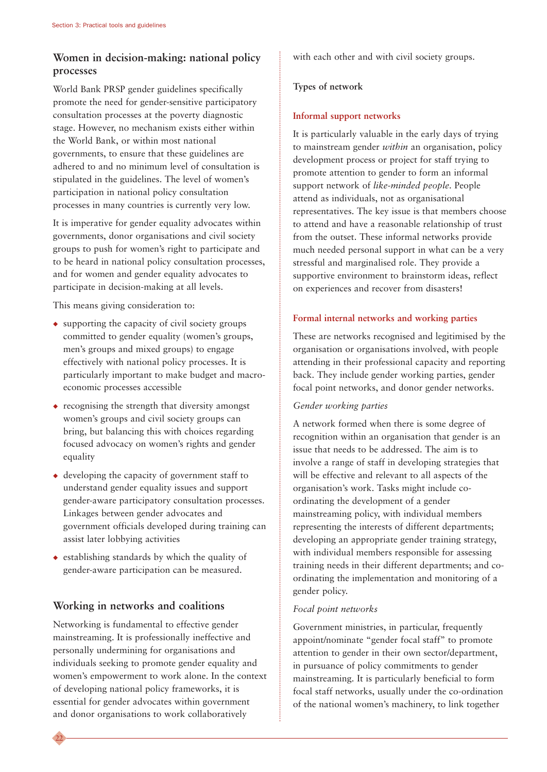#### **Women in decision-making: national policy processes**

World Bank PRSP gender guidelines specifically promote the need for gender-sensitive participatory consultation processes at the poverty diagnostic stage. However, no mechanism exists either within the World Bank, or within most national governments, to ensure that these guidelines are adhered to and no minimum level of consultation is stipulated in the guidelines. The level of women's participation in national policy consultation processes in many countries is currently very low.

It is imperative for gender equality advocates within governments, donor organisations and civil society groups to push for women's right to participate and to be heard in national policy consultation processes, and for women and gender equality advocates to participate in decision-making at all levels.

This means giving consideration to:

- $\bullet$  supporting the capacity of civil society groups committed to gender equality (women's groups, men's groups and mixed groups) to engage effectively with national policy processes. It is particularly important to make budget and macroeconomic processes accessible
- ◆ recognising the strength that diversity amongst women's groups and civil society groups can bring, but balancing this with choices regarding focused advocacy on women's rights and gender equality
- ◆ developing the capacity of government staff to understand gender equality issues and support gender-aware participatory consultation processes. Linkages between gender advocates and government officials developed during training can assist later lobbying activities
- ◆ establishing standards by which the quality of gender-aware participation can be measured.

#### **Working in networks and coalitions**

22

Networking is fundamental to effective gender mainstreaming. It is professionally ineffective and personally undermining for organisations and individuals seeking to promote gender equality and women's empowerment to work alone. In the context of developing national policy frameworks, it is essential for gender advocates within government and donor organisations to work collaboratively

with each other and with civil society groups.

#### **Types of network**

#### **Informal support networks**

It is particularly valuable in the early days of trying to mainstream gender *within* an organisation, policy development process or project for staff trying to promote attention to gender to form an informal support network of *like-minded people*. People attend as individuals, not as organisational representatives. The key issue is that members choose to attend and have a reasonable relationship of trust from the outset. These informal networks provide much needed personal support in what can be a very stressful and marginalised role. They provide a supportive environment to brainstorm ideas, reflect on experiences and recover from disasters!

#### **Formal internal networks and working parties**

These are networks recognised and legitimised by the organisation or organisations involved, with people attending in their professional capacity and reporting back. They include gender working parties, gender focal point networks, and donor gender networks.

#### *Gender working parties*

A network formed when there is some degree of recognition within an organisation that gender is an issue that needs to be addressed. The aim is to involve a range of staff in developing strategies that will be effective and relevant to all aspects of the organisation's work. Tasks might include coordinating the development of a gender mainstreaming policy, with individual members representing the interests of different departments; developing an appropriate gender training strategy, with individual members responsible for assessing training needs in their different departments; and coordinating the implementation and monitoring of a gender policy.

#### *Focal point networks*

Government ministries, in particular, frequently appoint/nominate "gender focal staff" to promote attention to gender in their own sector/department, in pursuance of policy commitments to gender mainstreaming. It is particularly beneficial to form focal staff networks, usually under the co-ordination of the national women's machinery, to link together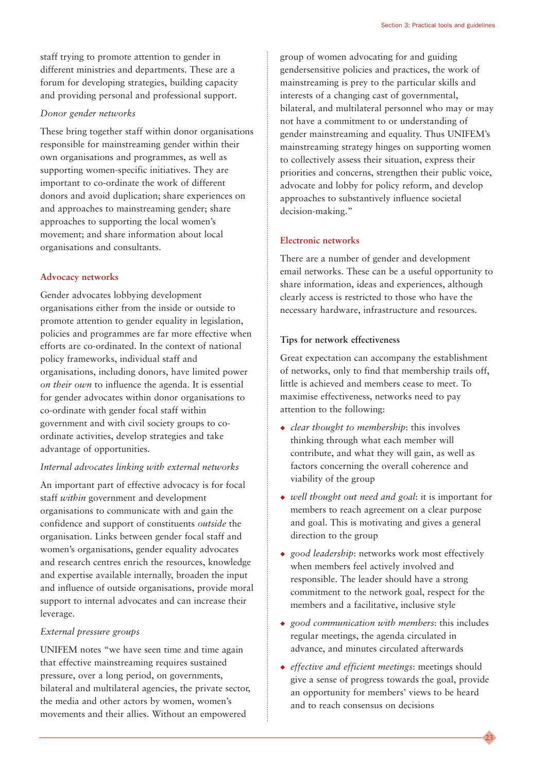staff trying to promote attention to gender in different ministries and departments. These are a forum for developing strategies, building capacity and providing personal and professional support.

#### *Donor gender networks*

These bring together staff within donor organisations responsible for mainstreaming gender within their own organisations and programmes, as well as supporting women-specific initiatives. They are important to co-ordinate the work of different donors and avoid duplication; share experiences on and approaches to mainstreaming gender; share approaches to supporting the local women's movement; and share information about local organisations and consultants.

#### **Advocacy networks**

Gender advocates lobbying development organisations either from the inside or outside to promote attention to gender equality in legislation, policies and programmes are far more effective when efforts are co-ordinated. In the context of national policy frameworks, individual staff and organisations, including donors, have limited power *on their own* to influence the agenda. It is essential for gender advocates within donor organisations to co-ordinate with gender focal staff within government and with civil society groups to coordinate activities, develop strategies and take advantage of opportunities.

#### *Internal advocates linking with external networks*

An important part of effective advocacy is for focal staff *within* government and development organisations to communicate with and gain the confidence and support of constituents *outside* the organisation. Links between gender focal staff and women's organisations, gender equality advocates and research centres enrich the resources, knowledge and expertise available internally, broaden the input and influence of outside organisations, provide moral support to internal advocates and can increase their leverage.

#### *External pressure groups*

UNIFEM notes "we have seen time and time again that effective mainstreaming requires sustained pressure, over a long period, on governments, bilateral and multilateral agencies, the private sector, the media and other actors by women, women's movements and their allies. Without an empowered

group of women advocating for and guiding gendersensitive policies and practices, the work of mainstreaming is prey to the particular skills and interests of a changing cast of governmental, bilateral, and multilateral personnel who may or may not have a commitment to or understanding of gender mainstreaming and equality. Thus UNIFEM's mainstreaming strategy hinges on supporting women to collectively assess their situation, express their priorities and concerns, strengthen their public voice, advocate and lobby for policy reform, and develop approaches to substantively influence societal decision-making."

#### **Electronic networks**

There are a number of gender and development email networks. These can be a useful opportunity to share information, ideas and experiences, although clearly access is restricted to those who have the necessary hardware, infrastructure and resources.

#### **Tips for network effectiveness**

Great expectation can accompany the establishment of networks, only to find that membership trails off, little is achieved and members cease to meet. To maximise effectiveness, networks need to pay attention to the following:

- ◆ *clear thought to membership*: this involves thinking through what each member will contribute, and what they will gain, as well as factors concerning the overall coherence and viability of the group
- ◆ *well thought out need and goal*: it is important for members to reach agreement on a clear purpose and goal. This is motivating and gives a general direction to the group
- ◆ *good leadership*: networks work most effectively when members feel actively involved and responsible. The leader should have a strong commitment to the network goal, respect for the members and a facilitative, inclusive style
- ◆ *good communication with members*: this includes regular meetings, the agenda circulated in advance, and minutes circulated afterwards
- ◆ *effective and efficient meetings*: meetings should give a sense of progress towards the goal, provide an opportunity for members' views to be heard and to reach consensus on decisions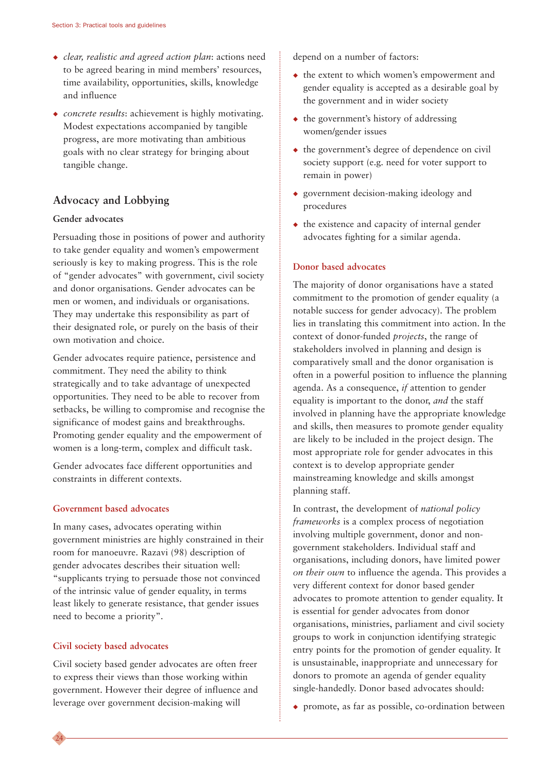- ◆ *clear, realistic and agreed action plan*: actions need to be agreed bearing in mind members' resources, time availability, opportunities, skills, knowledge and influence
- ◆ *concrete results*: achievement is highly motivating. Modest expectations accompanied by tangible progress, are more motivating than ambitious goals with no clear strategy for bringing about tangible change.

#### **Advocacy and Lobbying**

#### **Gender advocates**

Persuading those in positions of power and authority to take gender equality and women's empowerment seriously is key to making progress. This is the role of "gender advocates" with government, civil society and donor organisations. Gender advocates can be men or women, and individuals or organisations. They may undertake this responsibility as part of their designated role, or purely on the basis of their own motivation and choice.

Gender advocates require patience, persistence and commitment. They need the ability to think strategically and to take advantage of unexpected opportunities. They need to be able to recover from setbacks, be willing to compromise and recognise the significance of modest gains and breakthroughs. Promoting gender equality and the empowerment of women is a long-term, complex and difficult task.

Gender advocates face different opportunities and constraints in different contexts.

#### **Government based advocates**

In many cases, advocates operating within government ministries are highly constrained in their room for manoeuvre. Razavi (98) description of gender advocates describes their situation well: "supplicants trying to persuade those not convinced of the intrinsic value of gender equality, in terms least likely to generate resistance, that gender issues need to become a priority".

#### **Civil society based advocates**

Civil society based gender advocates are often freer to express their views than those working within government. However their degree of influence and leverage over government decision-making will

depend on a number of factors:

- ◆ the extent to which women's empowerment and gender equality is accepted as a desirable goal by the government and in wider society
- $\leftrightarrow$  the government's history of addressing women/gender issues
- ◆ the government's degree of dependence on civil society support (e.g. need for voter support to remain in power)
- ◆ government decision-making ideology and procedures
- $\bullet$  the existence and capacity of internal gender advocates fighting for a similar agenda.

#### **Donor based advocates**

The majority of donor organisations have a stated commitment to the promotion of gender equality (a notable success for gender advocacy). The problem lies in translating this commitment into action. In the context of donor-funded *projects*, the range of stakeholders involved in planning and design is comparatively small and the donor organisation is often in a powerful position to influence the planning agenda. As a consequence, *if* attention to gender equality is important to the donor, *and* the staff involved in planning have the appropriate knowledge and skills, then measures to promote gender equality are likely to be included in the project design. The most appropriate role for gender advocates in this context is to develop appropriate gender mainstreaming knowledge and skills amongst planning staff.

In contrast, the development of *national policy frameworks* is a complex process of negotiation involving multiple government, donor and nongovernment stakeholders. Individual staff and organisations, including donors, have limited power *on their own* to influence the agenda. This provides a very different context for donor based gender advocates to promote attention to gender equality. It is essential for gender advocates from donor organisations, ministries, parliament and civil society groups to work in conjunction identifying strategic entry points for the promotion of gender equality. It is unsustainable, inappropriate and unnecessary for donors to promote an agenda of gender equality single-handedly. Donor based advocates should:

◆ promote, as far as possible, co-ordination between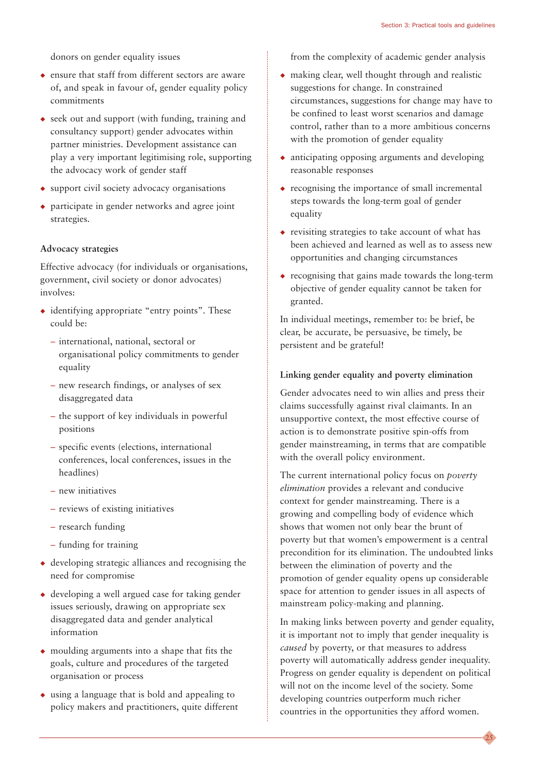donors on gender equality issues

- ◆ ensure that staff from different sectors are aware of, and speak in favour of, gender equality policy commitments
- ◆ seek out and support (with funding, training and consultancy support) gender advocates within partner ministries. Development assistance can play a very important legitimising role, supporting the advocacy work of gender staff
- ◆ support civil society advocacy organisations
- ◆ participate in gender networks and agree joint strategies.

#### **Advocacy strategies**

Effective advocacy (for individuals or organisations, government, civil society or donor advocates) involves:

- ◆ identifying appropriate "entry points". These could be:
	- international, national, sectoral or organisational policy commitments to gender equality
	- new research findings, or analyses of sex disaggregated data
	- the support of key individuals in powerful positions
	- specific events (elections, international conferences, local conferences, issues in the headlines)
	- new initiatives
	- reviews of existing initiatives
	- research funding
	- funding for training
- $\triangle$  developing strategic alliances and recognising the need for compromise
- $\triangle$  developing a well argued case for taking gender issues seriously, drawing on appropriate sex disaggregated data and gender analytical information
- ◆ moulding arguments into a shape that fits the goals, culture and procedures of the targeted organisation or process
- ◆ using a language that is bold and appealing to policy makers and practitioners, quite different

from the complexity of academic gender analysis

- $\bullet$  making clear, well thought through and realistic suggestions for change. In constrained circumstances, suggestions for change may have to be confined to least worst scenarios and damage control, rather than to a more ambitious concerns with the promotion of gender equality
- ◆ anticipating opposing arguments and developing reasonable responses
- $\triangle$  recognising the importance of small incremental steps towards the long-term goal of gender equality
- ◆ revisiting strategies to take account of what has been achieved and learned as well as to assess new opportunities and changing circumstances
- ◆ recognising that gains made towards the long-term objective of gender equality cannot be taken for granted.

In individual meetings, remember to: be brief, be clear, be accurate, be persuasive, be timely, be persistent and be grateful!

#### **Linking gender equality and poverty elimination**

Gender advocates need to win allies and press their claims successfully against rival claimants. In an unsupportive context, the most effective course of action is to demonstrate positive spin-offs from gender mainstreaming, in terms that are compatible with the overall policy environment.

The current international policy focus on *poverty elimination* provides a relevant and conducive context for gender mainstreaming. There is a growing and compelling body of evidence which shows that women not only bear the brunt of poverty but that women's empowerment is a central precondition for its elimination. The undoubted links between the elimination of poverty and the promotion of gender equality opens up considerable space for attention to gender issues in all aspects of mainstream policy-making and planning.

In making links between poverty and gender equality, it is important not to imply that gender inequality is *caused* by poverty, or that measures to address poverty will automatically address gender inequality. Progress on gender equality is dependent on political will not on the income level of the society. Some developing countries outperform much richer countries in the opportunities they afford women.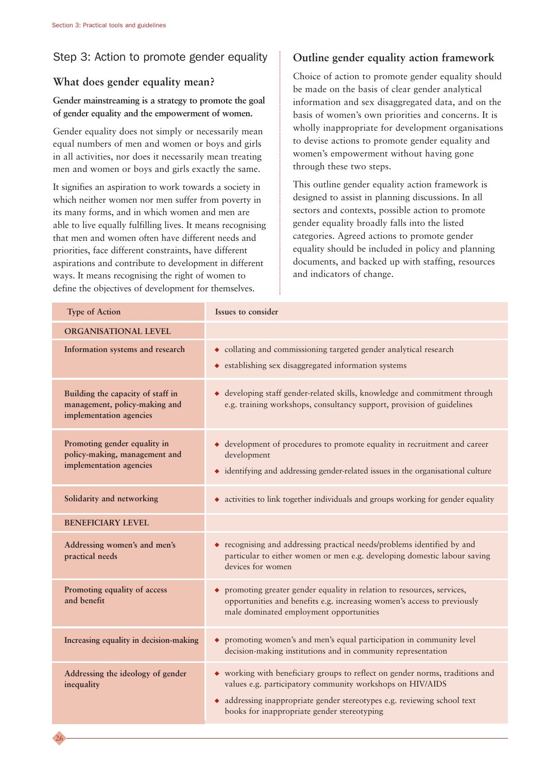26

#### Step 3: Action to promote gender equality

#### **What does gender equality mean?**

#### **Gender mainstreaming is a strategy to promote the goal of gender equality and the empowerment of women.**

Gender equality does not simply or necessarily mean equal numbers of men and women or boys and girls in all activities, nor does it necessarily mean treating men and women or boys and girls exactly the same.

It signifies an aspiration to work towards a society in which neither women nor men suffer from poverty in its many forms, and in which women and men are able to live equally fulfilling lives. It means recognising that men and women often have different needs and priorities, face different constraints, have different aspirations and contribute to development in different ways. It means recognising the right of women to define the objectives of development for themselves.

#### **Outline gender equality action framework**

Choice of action to promote gender equality should be made on the basis of clear gender analytical information and sex disaggregated data, and on the basis of women's own priorities and concerns. It is wholly inappropriate for development organisations to devise actions to promote gender equality and women's empowerment without having gone through these two steps.

This outline gender equality action framework is designed to assist in planning discussions. In all sectors and contexts, possible action to promote gender equality broadly falls into the listed categories. Agreed actions to promote gender equality should be included in policy and planning documents, and backed up with staffing, resources and indicators of change.

| <b>Type of Action</b>                                                                         | Issues to consider                                                                                                                                                                                                                                                   |
|-----------------------------------------------------------------------------------------------|----------------------------------------------------------------------------------------------------------------------------------------------------------------------------------------------------------------------------------------------------------------------|
| ORGANISATIONAL LEVEL                                                                          |                                                                                                                                                                                                                                                                      |
| Information systems and research                                                              | • collating and commissioning targeted gender analytical research<br>• establishing sex disaggregated information systems                                                                                                                                            |
| Building the capacity of staff in<br>management, policy-making and<br>implementation agencies | • developing staff gender-related skills, knowledge and commitment through<br>e.g. training workshops, consultancy support, provision of guidelines                                                                                                                  |
| Promoting gender equality in<br>policy-making, management and<br>implementation agencies      | • development of procedures to promote equality in recruitment and career<br>development<br>• identifying and addressing gender-related issues in the organisational culture                                                                                         |
| Solidarity and networking                                                                     | • activities to link together individuals and groups working for gender equality                                                                                                                                                                                     |
| <b>BENEFICIARY LEVEL</b>                                                                      |                                                                                                                                                                                                                                                                      |
| Addressing women's and men's<br>practical needs                                               | • recognising and addressing practical needs/problems identified by and<br>particular to either women or men e.g. developing domestic labour saving<br>devices for women                                                                                             |
| Promoting equality of access<br>and benefit                                                   | • promoting greater gender equality in relation to resources, services,<br>opportunities and benefits e.g. increasing women's access to previously<br>male dominated employment opportunities                                                                        |
| Increasing equality in decision-making                                                        | • promoting women's and men's equal participation in community level<br>decision-making institutions and in community representation                                                                                                                                 |
| Addressing the ideology of gender<br>inequality                                               | • working with beneficiary groups to reflect on gender norms, traditions and<br>values e.g. participatory community workshops on HIV/AIDS<br>• addressing inappropriate gender stereotypes e.g. reviewing school text<br>books for inappropriate gender stereotyping |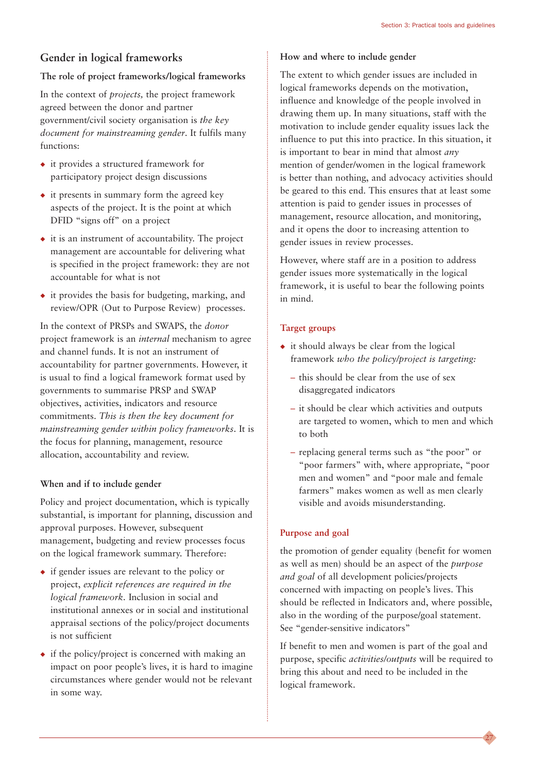#### **Gender in logical frameworks**

#### **The role of project frameworks/logical frameworks**

In the context of *projects,* the project framework agreed between the donor and partner government/civil society organisation is *the key document for mainstreaming gender*. It fulfils many functions:

- ◆ it provides a structured framework for participatory project design discussions
- $\bullet$  it presents in summary form the agreed key aspects of the project. It is the point at which DFID "signs off" on a project
- $\bullet$  it is an instrument of accountability. The project management are accountable for delivering what is specified in the project framework: they are not accountable for what is not
- ◆ it provides the basis for budgeting, marking, and review/OPR (Out to Purpose Review) processes.

In the context of PRSPs and SWAPS, the *donor* project framework is an *internal* mechanism to agree and channel funds. It is not an instrument of accountability for partner governments. However, it is usual to find a logical framework format used by governments to summarise PRSP and SWAP objectives, activities, indicators and resource commitments. *This is then the key document for mainstreaming gender within policy frameworks*. It is the focus for planning, management, resource allocation, accountability and review.

#### **When and if to include gender**

Policy and project documentation, which is typically substantial, is important for planning, discussion and approval purposes. However, subsequent management, budgeting and review processes focus on the logical framework summary. Therefore:

- ◆ if gender issues are relevant to the policy or project, *explicit references are required in the logical framework.* Inclusion in social and institutional annexes or in social and institutional appraisal sections of the policy/project documents is not sufficient
- ◆ if the policy/project is concerned with making an impact on poor people's lives, it is hard to imagine circumstances where gender would not be relevant in some way.

#### **How and where to include gender**

The extent to which gender issues are included in logical frameworks depends on the motivation, influence and knowledge of the people involved in drawing them up. In many situations, staff with the motivation to include gender equality issues lack the influence to put this into practice. In this situation, it is important to bear in mind that almost *any* mention of gender/women in the logical framework is better than nothing, and advocacy activities should be geared to this end. This ensures that at least some attention is paid to gender issues in processes of management, resource allocation, and monitoring, and it opens the door to increasing attention to gender issues in review processes.

However, where staff are in a position to address gender issues more systematically in the logical framework, it is useful to bear the following points in mind.

#### **Target groups**

- $\bullet$  it should always be clear from the logical framework *who the policy/project is targeting:*
	- this should be clear from the use of sex disaggregated indicators
	- it should be clear which activities and outputs are targeted to women, which to men and which to both
	- replacing general terms such as "the poor" or "poor farmers" with, where appropriate, "poor men and women" and "poor male and female farmers" makes women as well as men clearly visible and avoids misunderstanding.

#### **Purpose and goal**

the promotion of gender equality (benefit for women as well as men) should be an aspect of the *purpose and goal* of all development policies/projects concerned with impacting on people's lives. This should be reflected in Indicators and, where possible, also in the wording of the purpose/goal statement. See "gender-sensitive indicators"

If benefit to men and women is part of the goal and purpose, specific *activities/outputs* will be required to bring this about and need to be included in the logical framework.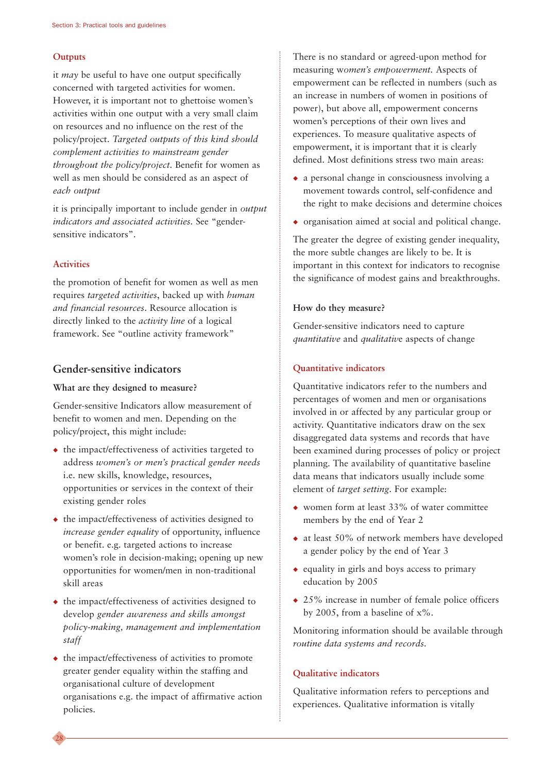#### **Outputs**

it *may* be useful to have one output specifically concerned with targeted activities for women. However, it is important not to ghettoise women's activities within one output with a very small claim on resources and no influence on the rest of the policy/project. *Targeted outputs of this kind should complement activities to mainstream gender throughout the policy/project.* Benefit for women as well as men should be considered as an aspect of *each output*

it is principally important to include gender in *output indicators and associated activities.* See "gendersensitive indicators".

#### **Activities**

28

the promotion of benefit for women as well as men requires *targeted activities*, backed up with *human and financial resources*. Resource allocation is directly linked to the *activity line* of a logical framework. See "outline activity framework"

#### **Gender-sensitive indicators**

#### **What are they designed to measure?**

Gender-sensitive Indicators allow measurement of benefit to women and men. Depending on the policy/project, this might include:

- ◆ the impact/effectiveness of activities targeted to address *women's or men's practical gender needs* i.e. new skills, knowledge, resources, opportunities or services in the context of their existing gender roles
- ◆ the impact/effectiveness of activities designed to *increase gender equality* of opportunity, influence or benefit. e.g. targeted actions to increase women's role in decision-making; opening up new opportunities for women/men in non-traditional skill areas
- ◆ the impact/effectiveness of activities designed to develop *gender awareness and skills amongst policy-making, management and implementation staff*
- ◆ the impact/effectiveness of activities to promote greater gender equality within the staffing and organisational culture of development organisations e.g. the impact of affirmative action policies.

There is no standard or agreed-upon method for measuring w*omen's empowerment.* Aspects of empowerment can be reflected in numbers (such as an increase in numbers of women in positions of power), but above all, empowerment concerns women's perceptions of their own lives and experiences. To measure qualitative aspects of empowerment, it is important that it is clearly defined. Most definitions stress two main areas:

- $\bullet$  a personal change in consciousness involving a movement towards control, self-confidence and the right to make decisions and determine choices
- ◆ organisation aimed at social and political change.

The greater the degree of existing gender inequality, the more subtle changes are likely to be. It is important in this context for indicators to recognise the significance of modest gains and breakthroughs.

#### **How do they measure?**

Gender-sensitive indicators need to capture *quantitative* and *qualitativ*e aspects of change

#### **Quantitative indicators**

Quantitative indicators refer to the numbers and percentages of women and men or organisations involved in or affected by any particular group or activity. Quantitative indicators draw on the sex disaggregated data systems and records that have been examined during processes of policy or project planning. The availability of quantitative baseline data means that indicators usually include some element of *target setting*. For example:

- ◆ women form at least 33% of water committee members by the end of Year 2
- ◆ at least 50% of network members have developed a gender policy by the end of Year 3
- ◆ equality in girls and boys access to primary education by 2005
- ◆ 25% increase in number of female police officers by 2005, from a baseline of  $x\%$ .

Monitoring information should be available through *routine data systems and records.*

#### **Qualitative indicators**

Qualitative information refers to perceptions and experiences. Qualitative information is vitally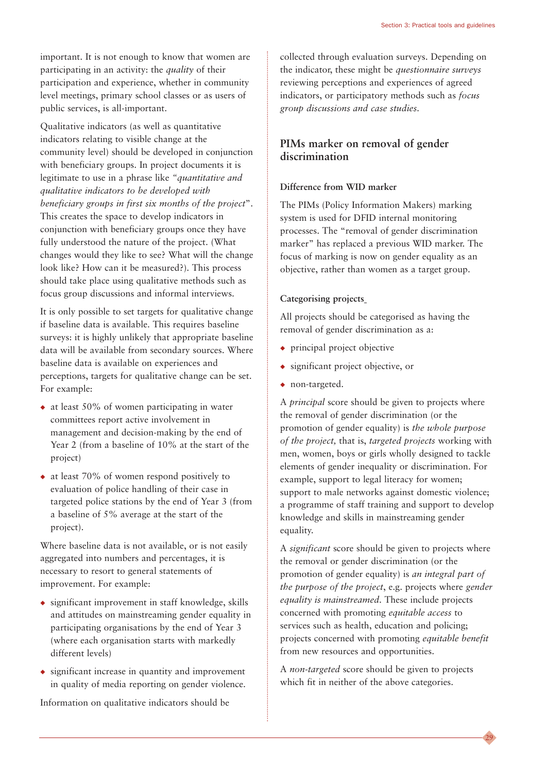important. It is not enough to know that women are participating in an activity: the *quality* of their participation and experience, whether in community level meetings, primary school classes or as users of public services, is all-important.

Qualitative indicators (as well as quantitative indicators relating to visible change at the community level) should be developed in conjunction with beneficiary groups. In project documents it is legitimate to use in a phrase like *"quantitative and qualitative indicators to be developed with beneficiary groups in first six months of the project*". This creates the space to develop indicators in conjunction with beneficiary groups once they have fully understood the nature of the project. (What changes would they like to see? What will the change look like? How can it be measured?). This process should take place using qualitative methods such as focus group discussions and informal interviews.

It is only possible to set targets for qualitative change if baseline data is available. This requires baseline surveys: it is highly unlikely that appropriate baseline data will be available from secondary sources. Where baseline data is available on experiences and perceptions, targets for qualitative change can be set. For example:

- $\bullet$  at least 50% of women participating in water committees report active involvement in management and decision-making by the end of Year 2 (from a baseline of 10% at the start of the project)
- ◆ at least 70% of women respond positively to evaluation of police handling of their case in targeted police stations by the end of Year 3 (from a baseline of 5% average at the start of the project).

Where baseline data is not available, or is not easily aggregated into numbers and percentages, it is necessary to resort to general statements of improvement. For example:

- ◆ significant improvement in staff knowledge, skills and attitudes on mainstreaming gender equality in participating organisations by the end of Year 3 (where each organisation starts with markedly different levels)
- ◆ significant increase in quantity and improvement in quality of media reporting on gender violence.

Information on qualitative indicators should be

collected through evaluation surveys. Depending on the indicator, these might be *questionnaire surveys* reviewing perceptions and experiences of agreed indicators, or participatory methods such as *focus group discussions and case studies.*

#### **PIMs marker on removal of gender discrimination**

#### **Difference from WID marker**

The PIMs (Policy Information Makers) marking system is used for DFID internal monitoring processes. The "removal of gender discrimination marker" has replaced a previous WID marker. The focus of marking is now on gender equality as an objective, rather than women as a target group.

#### **Categorising projects**

All projects should be categorised as having the removal of gender discrimination as a:

- ◆ principal project objective
- ◆ significant project objective, or
- ◆ non-targeted.

A *principal* score should be given to projects where the removal of gender discrimination (or the promotion of gender equality) is *the whole purpose of the project,* that is, *targeted projects* working with men, women, boys or girls wholly designed to tackle elements of gender inequality or discrimination. For example, support to legal literacy for women; support to male networks against domestic violence; a programme of staff training and support to develop knowledge and skills in mainstreaming gender equality.

A *significant* score should be given to projects where the removal or gender discrimination (or the promotion of gender equality) is *an integral part of the purpose of the project*, e.g. projects where *gender equality is mainstreamed*. These include projects concerned with promoting *equitable access* to services such as health, education and policing; projects concerned with promoting *equitable benefit* from new resources and opportunities.

A *non-targeted* score should be given to projects which fit in neither of the above categories.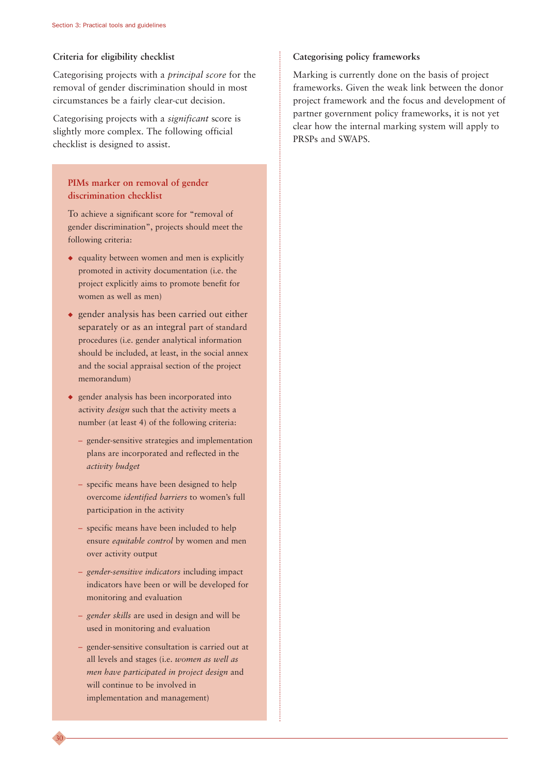#### **Criteria for eligibility checklist**

Categorising projects with a *principal score* for the removal of gender discrimination should in most circumstances be a fairly clear-cut decision.

Categorising projects with a *significant* score is slightly more complex. The following official checklist is designed to assist.

#### **PIMs marker on removal of gender discrimination checklist**

To achieve a significant score for "removal of gender discrimination", projects should meet the following criteria:

- ◆ equality between women and men is explicitly promoted in activity documentation (i.e. the project explicitly aims to promote benefit for women as well as men)
- ◆ gender analysis has been carried out either separately or as an integral part of standard procedures (i.e. gender analytical information should be included, at least, in the social annex and the social appraisal section of the project memorandum)
- ◆ gender analysis has been incorporated into activity *design* such that the activity meets a number (at least 4) of the following criteria:
	- gender-sensitive strategies and implementation plans are incorporated and reflected in the *activity budget*
	- specific means have been designed to help overcome *identified barriers* to women's full participation in the activity
	- specific means have been included to help ensure *equitable control* by women and men over activity output
	- *gender-sensitive indicators* including impact indicators have been or will be developed for monitoring and evaluation
	- *gender skills* are used in design and will be used in monitoring and evaluation
	- gender-sensitive consultation is carried out at all levels and stages (i.e. *women as well as men have participated in project design* and will continue to be involved in implementation and management)

30

#### **Categorising policy frameworks**

Marking is currently done on the basis of project frameworks. Given the weak link between the donor project framework and the focus and development of partner government policy frameworks, it is not yet clear how the internal marking system will apply to PRSPs and SWAPS.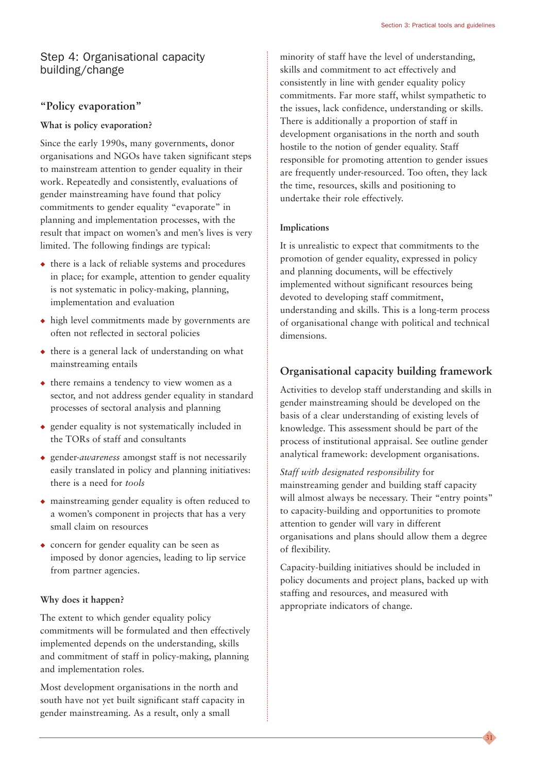#### Step 4: Organisational capacity building/change

#### **"Policy evaporation"**

#### **What is policy evaporation?**

Since the early 1990s, many governments, donor organisations and NGOs have taken significant steps to mainstream attention to gender equality in their work. Repeatedly and consistently, evaluations of gender mainstreaming have found that policy commitments to gender equality "evaporate" in planning and implementation processes, with the result that impact on women's and men's lives is very limited. The following findings are typical:

- ◆ there is a lack of reliable systems and procedures in place; for example, attention to gender equality is not systematic in policy-making, planning, implementation and evaluation
- ◆ high level commitments made by governments are often not reflected in sectoral policies
- ◆ there is a general lack of understanding on what mainstreaming entails
- ◆ there remains a tendency to view women as a sector, and not address gender equality in standard processes of sectoral analysis and planning
- ◆ gender equality is not systematically included in the TORs of staff and consultants
- ◆ gender-*awareness* amongst staff is not necessarily easily translated in policy and planning initiatives: there is a need for *tools*
- ◆ mainstreaming gender equality is often reduced to a women's component in projects that has a very small claim on resources
- ◆ concern for gender equality can be seen as imposed by donor agencies, leading to lip service from partner agencies.

#### **Why does it happen?**

The extent to which gender equality policy commitments will be formulated and then effectively implemented depends on the understanding, skills and commitment of staff in policy-making, planning and implementation roles.

Most development organisations in the north and south have not yet built significant staff capacity in gender mainstreaming. As a result, only a small

minority of staff have the level of understanding, skills and commitment to act effectively and consistently in line with gender equality policy commitments. Far more staff, whilst sympathetic to the issues, lack confidence, understanding or skills. There is additionally a proportion of staff in development organisations in the north and south hostile to the notion of gender equality. Staff responsible for promoting attention to gender issues are frequently under-resourced. Too often, they lack the time, resources, skills and positioning to undertake their role effectively.

#### **Implications**

It is unrealistic to expect that commitments to the promotion of gender equality, expressed in policy and planning documents, will be effectively implemented without significant resources being devoted to developing staff commitment, understanding and skills. This is a long-term process of organisational change with political and technical dimensions.

#### **Organisational capacity building framework**

Activities to develop staff understanding and skills in gender mainstreaming should be developed on the basis of a clear understanding of existing levels of knowledge. This assessment should be part of the process of institutional appraisal. See outline gender analytical framework: development organisations.

*Staff with designated responsibility* for mainstreaming gender and building staff capacity will almost always be necessary. Their "entry points" to capacity-building and opportunities to promote attention to gender will vary in different organisations and plans should allow them a degree of flexibility.

Capacity-building initiatives should be included in policy documents and project plans, backed up with staffing and resources, and measured with appropriate indicators of change.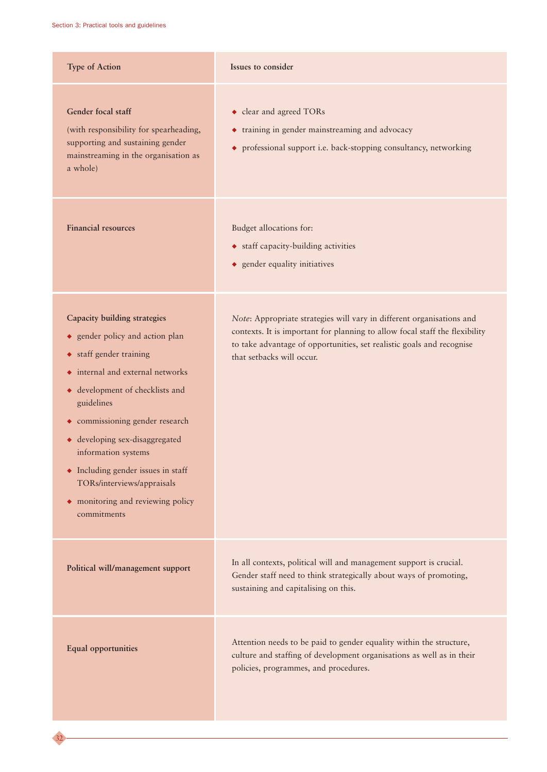| <b>Type of Action</b>                                                                                                                                                                                                                                                                                                                                                                                         | Issues to consider                                                                                                                                                                                                                                         |
|---------------------------------------------------------------------------------------------------------------------------------------------------------------------------------------------------------------------------------------------------------------------------------------------------------------------------------------------------------------------------------------------------------------|------------------------------------------------------------------------------------------------------------------------------------------------------------------------------------------------------------------------------------------------------------|
| Gender focal staff<br>(with responsibility for spearheading,<br>supporting and sustaining gender<br>mainstreaming in the organisation as<br>a whole)                                                                                                                                                                                                                                                          | • clear and agreed TORs<br>• training in gender mainstreaming and advocacy<br>professional support i.e. back-stopping consultancy, networking<br>٠                                                                                                         |
| <b>Financial resources</b>                                                                                                                                                                                                                                                                                                                                                                                    | Budget allocations for:<br>• staff capacity-building activities<br>• gender equality initiatives                                                                                                                                                           |
| <b>Capacity building strategies</b><br>• gender policy and action plan<br>• staff gender training<br>internal and external networks<br>٠<br>• development of checklists and<br>guidelines<br>• commissioning gender research<br>• developing sex-disaggregated<br>information systems<br>• Including gender issues in staff<br>TORs/interviews/appraisals<br>• monitoring and reviewing policy<br>commitments | Note: Appropriate strategies will vary in different organisations and<br>contexts. It is important for planning to allow focal staff the flexibility<br>to take advantage of opportunities, set realistic goals and recognise<br>that setbacks will occur. |
| Political will/management support                                                                                                                                                                                                                                                                                                                                                                             | In all contexts, political will and management support is crucial.<br>Gender staff need to think strategically about ways of promoting,<br>sustaining and capitalising on this.                                                                            |
| <b>Equal opportunities</b>                                                                                                                                                                                                                                                                                                                                                                                    | Attention needs to be paid to gender equality within the structure,<br>culture and staffing of development organisations as well as in their<br>policies, programmes, and procedures.                                                                      |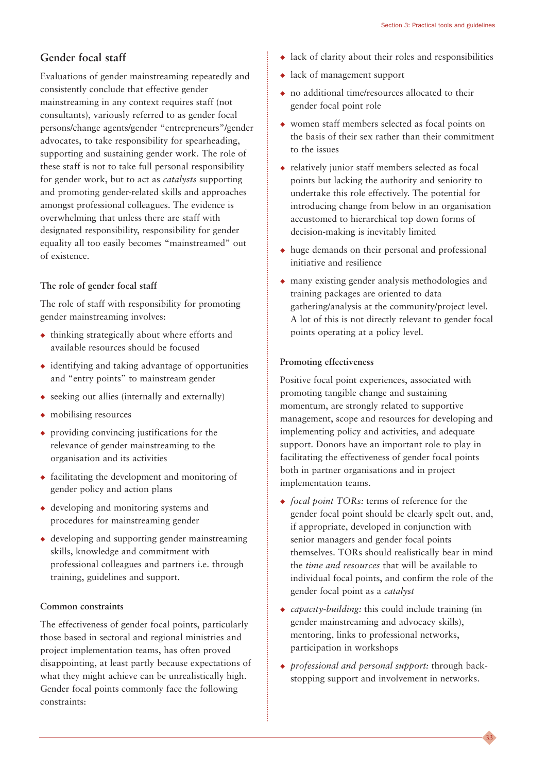#### **Gender focal staff**

Evaluations of gender mainstreaming repeatedly and consistently conclude that effective gender mainstreaming in any context requires staff (not consultants), variously referred to as gender focal persons/change agents/gender "entrepreneurs"/gender advocates, to take responsibility for spearheading, supporting and sustaining gender work. The role of these staff is not to take full personal responsibility for gender work, but to act as *catalysts* supporting and promoting gender-related skills and approaches amongst professional colleagues. The evidence is overwhelming that unless there are staff with designated responsibility, responsibility for gender equality all too easily becomes "mainstreamed" out of existence.

#### **The role of gender focal staff**

The role of staff with responsibility for promoting gender mainstreaming involves:

- $\triangle$  thinking strategically about where efforts and available resources should be focused
- $\bullet$  identifying and taking advantage of opportunities and "entry points" to mainstream gender
- $\leftrightarrow$  seeking out allies (internally and externally)
- ◆ mobilising resources
- ◆ providing convincing justifications for the relevance of gender mainstreaming to the organisation and its activities
- ◆ facilitating the development and monitoring of gender policy and action plans
- ◆ developing and monitoring systems and procedures for mainstreaming gender
- ◆ developing and supporting gender mainstreaming skills, knowledge and commitment with professional colleagues and partners i.e. through training, guidelines and support.

#### **Common constraints**

The effectiveness of gender focal points, particularly those based in sectoral and regional ministries and project implementation teams, has often proved disappointing, at least partly because expectations of what they might achieve can be unrealistically high. Gender focal points commonly face the following constraints:

- ◆ lack of clarity about their roles and responsibilities
- ◆ lack of management support
- ◆ no additional time/resources allocated to their gender focal point role
- ◆ women staff members selected as focal points on the basis of their sex rather than their commitment to the issues
- ◆ relatively junior staff members selected as focal points but lacking the authority and seniority to undertake this role effectively. The potential for introducing change from below in an organisation accustomed to hierarchical top down forms of decision-making is inevitably limited
- ◆ huge demands on their personal and professional initiative and resilience
- ◆ many existing gender analysis methodologies and training packages are oriented to data gathering/analysis at the community/project level. A lot of this is not directly relevant to gender focal points operating at a policy level.

#### **Promoting effectiveness**

Positive focal point experiences, associated with promoting tangible change and sustaining momentum, are strongly related to supportive management, scope and resources for developing and implementing policy and activities, and adequate support. Donors have an important role to play in facilitating the effectiveness of gender focal points both in partner organisations and in project implementation teams.

- ◆ *focal point TORs:* terms of reference for the gender focal point should be clearly spelt out, and, if appropriate, developed in conjunction with senior managers and gender focal points themselves. TORs should realistically bear in mind the *time and resources* that will be available to individual focal points, and confirm the role of the gender focal point as a *catalyst*
- ◆ *capacity-building:* this could include training (in gender mainstreaming and advocacy skills), mentoring, links to professional networks, participation in workshops
- ◆ *professional and personal support:* through backstopping support and involvement in networks.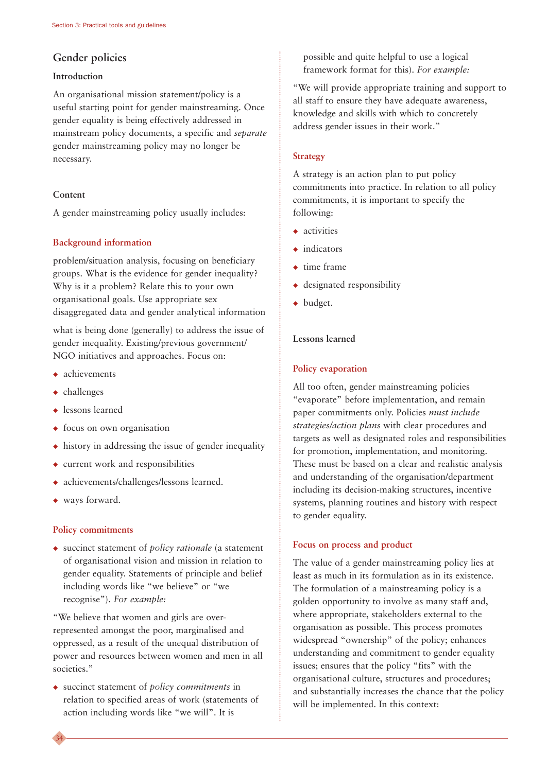#### **Gender policies**

#### **Introduction**

An organisational mission statement/policy is a useful starting point for gender mainstreaming. Once gender equality is being effectively addressed in mainstream policy documents, a specific and *separate* gender mainstreaming policy may no longer be necessary.

#### **Content**

A gender mainstreaming policy usually includes:

#### **Background information**

problem/situation analysis, focusing on beneficiary groups. What is the evidence for gender inequality? Why is it a problem? Relate this to your own organisational goals. Use appropriate sex disaggregated data and gender analytical information

what is being done (generally) to address the issue of gender inequality. Existing/previous government/ NGO initiatives and approaches. Focus on:

- ◆ achievements
- ◆ challenges
- ◆ lessons learned
- ◆ focus on own organisation
- ◆ history in addressing the issue of gender inequality
- ◆ current work and responsibilities
- ◆ achievements/challenges/lessons learned.
- ◆ ways forward.

34

#### **Policy commitments**

◆ succinct statement of *policy rationale* (a statement of organisational vision and mission in relation to gender equality. Statements of principle and belief including words like "we believe" or "we recognise"). *For example:*

"We believe that women and girls are overrepresented amongst the poor, marginalised and oppressed, as a result of the unequal distribution of power and resources between women and men in all societies."

◆ succinct statement of *policy commitments* in relation to specified areas of work (statements of action including words like "we will". It is

possible and quite helpful to use a logical framework format for this). *For example:*

"We will provide appropriate training and support to all staff to ensure they have adequate awareness, knowledge and skills with which to concretely address gender issues in their work."

#### **Strategy**

A strategy is an action plan to put policy commitments into practice. In relation to all policy commitments, it is important to specify the following:

- ◆ activities
- ◆ indicators
- ◆ time frame
- ◆ designated responsibility
- ◆ budget.

#### **Lessons learned**

#### **Policy evaporation**

All too often, gender mainstreaming policies "evaporate" before implementation, and remain paper commitments only. Policies *must include strategies/action plans* with clear procedures and targets as well as designated roles and responsibilities for promotion, implementation, and monitoring. These must be based on a clear and realistic analysis and understanding of the organisation/department including its decision-making structures, incentive systems, planning routines and history with respect to gender equality.

#### **Focus on process and product**

The value of a gender mainstreaming policy lies at least as much in its formulation as in its existence. The formulation of a mainstreaming policy is a golden opportunity to involve as many staff and, where appropriate, stakeholders external to the organisation as possible. This process promotes widespread "ownership" of the policy; enhances understanding and commitment to gender equality issues; ensures that the policy "fits" with the organisational culture, structures and procedures; and substantially increases the chance that the policy will be implemented. In this context: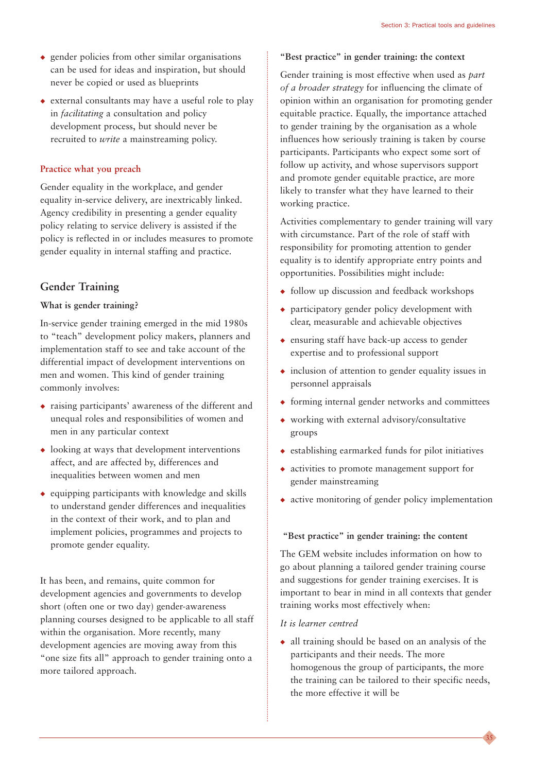- $\bullet$  gender policies from other similar organisations can be used for ideas and inspiration, but should never be copied or used as blueprints
- ◆ external consultants may have a useful role to play in *facilitating* a consultation and policy development process, but should never be recruited to *write* a mainstreaming policy.

#### **Practice what you preach**

Gender equality in the workplace, and gender equality in-service delivery, are inextricably linked. Agency credibility in presenting a gender equality policy relating to service delivery is assisted if the policy is reflected in or includes measures to promote gender equality in internal staffing and practice.

#### **Gender Training**

#### **What is gender training?**

In-service gender training emerged in the mid 1980s to "teach" development policy makers, planners and implementation staff to see and take account of the differential impact of development interventions on men and women. This kind of gender training commonly involves:

- ◆ raising participants' awareness of the different and unequal roles and responsibilities of women and men in any particular context
- ◆ looking at ways that development interventions affect, and are affected by, differences and inequalities between women and men
- $\bullet$  equipping participants with knowledge and skills to understand gender differences and inequalities in the context of their work, and to plan and implement policies, programmes and projects to promote gender equality.

It has been, and remains, quite common for development agencies and governments to develop short (often one or two day) gender-awareness planning courses designed to be applicable to all staff within the organisation. More recently, many development agencies are moving away from this "one size fits all" approach to gender training onto a more tailored approach.

#### **"Best practice" in gender training: the context**

Gender training is most effective when used as *part of a broader strategy* for influencing the climate of opinion within an organisation for promoting gender equitable practice. Equally, the importance attached to gender training by the organisation as a whole influences how seriously training is taken by course participants. Participants who expect some sort of follow up activity, and whose supervisors support and promote gender equitable practice, are more likely to transfer what they have learned to their working practice.

Activities complementary to gender training will vary with circumstance. Part of the role of staff with responsibility for promoting attention to gender equality is to identify appropriate entry points and opportunities. Possibilities might include:

- ◆ follow up discussion and feedback workshops
- ◆ participatory gender policy development with clear, measurable and achievable objectives
- ◆ ensuring staff have back-up access to gender expertise and to professional support
- ◆ inclusion of attention to gender equality issues in personnel appraisals
- $\rightarrow$  forming internal gender networks and committees
- ◆ working with external advisory/consultative groups
- ◆ establishing earmarked funds for pilot initiatives
- ◆ activities to promote management support for gender mainstreaming
- ◆ active monitoring of gender policy implementation

#### **"Best practice" in gender training: the content**

The GEM website includes information on how to go about planning a tailored gender training course and suggestions for gender training exercises. It is important to bear in mind in all contexts that gender training works most effectively when:

#### *It is learner centred*

◆ all training should be based on an analysis of the participants and their needs. The more homogenous the group of participants, the more the training can be tailored to their specific needs, the more effective it will be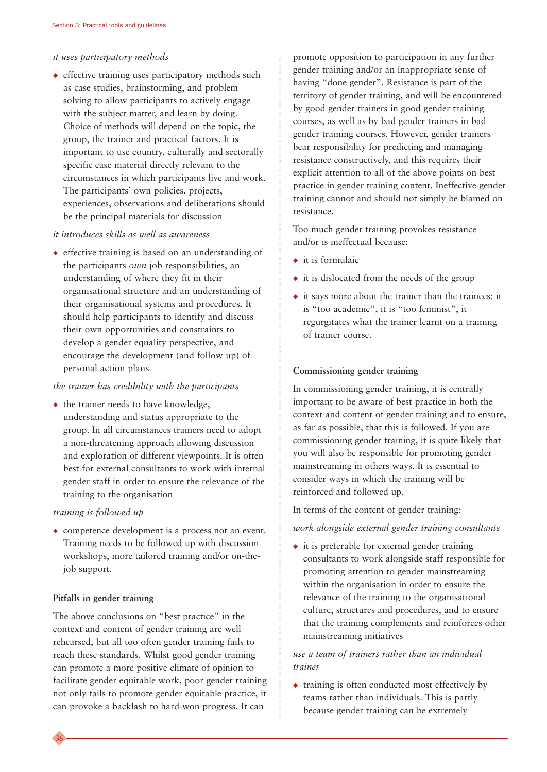#### *it uses participatory methods*

◆ effective training uses participatory methods such as case studies, brainstorming, and problem solving to allow participants to actively engage with the subject matter, and learn by doing. Choice of methods will depend on the topic, the group, the trainer and practical factors. It is important to use country, culturally and sectorally specific case material directly relevant to the circumstances in which participants live and work. The participants' own policies, projects, experiences, observations and deliberations should be the principal materials for discussion

#### *it introduces skills as well as awareness*

◆ effective training is based on an understanding of the participants *own* job responsibilities, an understanding of where they fit in their organisational structure and an understanding of their organisational systems and procedures. It should help participants to identify and discuss their own opportunities and constraints to develop a gender equality perspective, and encourage the development (and follow up) of personal action plans

#### *the trainer has credibility with the participants*

◆ the trainer needs to have knowledge, understanding and status appropriate to the group. In all circumstances trainers need to adopt a non-threatening approach allowing discussion and exploration of different viewpoints. It is often best for external consultants to work with internal gender staff in order to ensure the relevance of the training to the organisation

#### *training is followed up*

◆ competence development is a process not an event. Training needs to be followed up with discussion workshops, more tailored training and/or on-thejob support.

#### **Pitfalls in gender training**

The above conclusions on "best practice" in the context and content of gender training are well rehearsed, but all too often gender training fails to reach these standards. Whilst good gender training can promote a more positive climate of opinion to facilitate gender equitable work, poor gender training not only fails to promote gender equitable practice, it can provoke a backlash to hard-won progress. It can

promote opposition to participation in any further gender training and/or an inappropriate sense of having "done gender". Resistance is part of the territory of gender training, and will be encountered by good gender trainers in good gender training courses, as well as by bad gender trainers in bad gender training courses. However, gender trainers bear responsibility for predicting and managing resistance constructively, and this requires their explicit attention to all of the above points on best practice in gender training content. Ineffective gender training cannot and should not simply be blamed on resistance.

Too much gender training provokes resistance and/or is ineffectual because:

- $\bullet$  it is formulaic.
- ◆ it is dislocated from the needs of the group
- ◆ it says more about the trainer than the trainees: it is "too academic", it is "too feminist", it regurgitates what the trainer learnt on a training of trainer course.

#### **Commissioning gender training**

In commissioning gender training, it is centrally important to be aware of best practice in both the context and content of gender training and to ensure, as far as possible, that this is followed. If you are commissioning gender training, it is quite likely that you will also be responsible for promoting gender mainstreaming in others ways. It is essential to consider ways in which the training will be reinforced and followed up.

In terms of the content of gender training:

#### *work alongside external gender training consultants*

 $\bullet$  it is preferable for external gender training consultants to work alongside staff responsible for promoting attention to gender mainstreaming within the organisation in order to ensure the relevance of the training to the organisational culture, structures and procedures, and to ensure that the training complements and reinforces other mainstreaming initiatives

#### *use a team of trainers rather than an individual trainer*

◆ training is often conducted most effectively by teams rather than individuals. This is partly because gender training can be extremely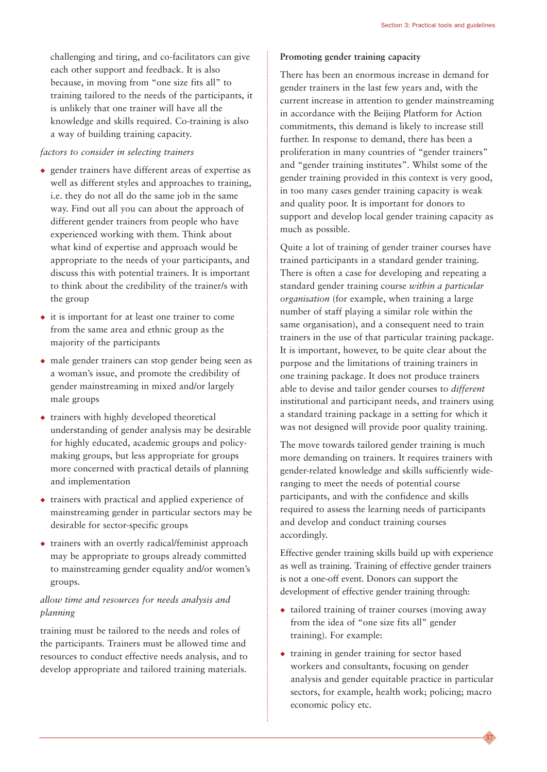challenging and tiring, and co-facilitators can give each other support and feedback. It is also because, in moving from "one size fits all" to training tailored to the needs of the participants, it is unlikely that one trainer will have all the knowledge and skills required. Co-training is also a way of building training capacity.

#### *factors to consider in selecting trainers*

- ◆ gender trainers have different areas of expertise as well as different styles and approaches to training, i.e. they do not all do the same job in the same way. Find out all you can about the approach of different gender trainers from people who have experienced working with them. Think about what kind of expertise and approach would be appropriate to the needs of your participants, and discuss this with potential trainers. It is important to think about the credibility of the trainer/s with the group
- ◆ it is important for at least one trainer to come from the same area and ethnic group as the majority of the participants
- ◆ male gender trainers can stop gender being seen as a woman's issue, and promote the credibility of gender mainstreaming in mixed and/or largely male groups
- ◆ trainers with highly developed theoretical understanding of gender analysis may be desirable for highly educated, academic groups and policymaking groups, but less appropriate for groups more concerned with practical details of planning and implementation
- ◆ trainers with practical and applied experience of mainstreaming gender in particular sectors may be desirable for sector-specific groups
- ◆ trainers with an overtly radical/feminist approach may be appropriate to groups already committed to mainstreaming gender equality and/or women's groups.

#### *allow time and resources for needs analysis and planning*

training must be tailored to the needs and roles of the participants. Trainers must be allowed time and resources to conduct effective needs analysis, and to develop appropriate and tailored training materials.

#### **Promoting gender training capacity**

There has been an enormous increase in demand for gender trainers in the last few years and, with the current increase in attention to gender mainstreaming in accordance with the Beijing Platform for Action commitments, this demand is likely to increase still further. In response to demand, there has been a proliferation in many countries of "gender trainers" and "gender training institutes". Whilst some of the gender training provided in this context is very good, in too many cases gender training capacity is weak and quality poor. It is important for donors to support and develop local gender training capacity as much as possible.

Quite a lot of training of gender trainer courses have trained participants in a standard gender training. There is often a case for developing and repeating a standard gender training course *within a particular organisation* (for example, when training a large number of staff playing a similar role within the same organisation), and a consequent need to train trainers in the use of that particular training package. It is important, however, to be quite clear about the purpose and the limitations of training trainers in one training package. It does not produce trainers able to devise and tailor gender courses to *different* institutional and participant needs, and trainers using a standard training package in a setting for which it was not designed will provide poor quality training.

The move towards tailored gender training is much more demanding on trainers. It requires trainers with gender-related knowledge and skills sufficiently wideranging to meet the needs of potential course participants, and with the confidence and skills required to assess the learning needs of participants and develop and conduct training courses accordingly.

Effective gender training skills build up with experience as well as training. Training of effective gender trainers is not a one-off event. Donors can support the development of effective gender training through:

- ◆ tailored training of trainer courses (moving away from the idea of "one size fits all" gender training). For example:
- ◆ training in gender training for sector based workers and consultants, focusing on gender analysis and gender equitable practice in particular sectors, for example, health work; policing; macro economic policy etc.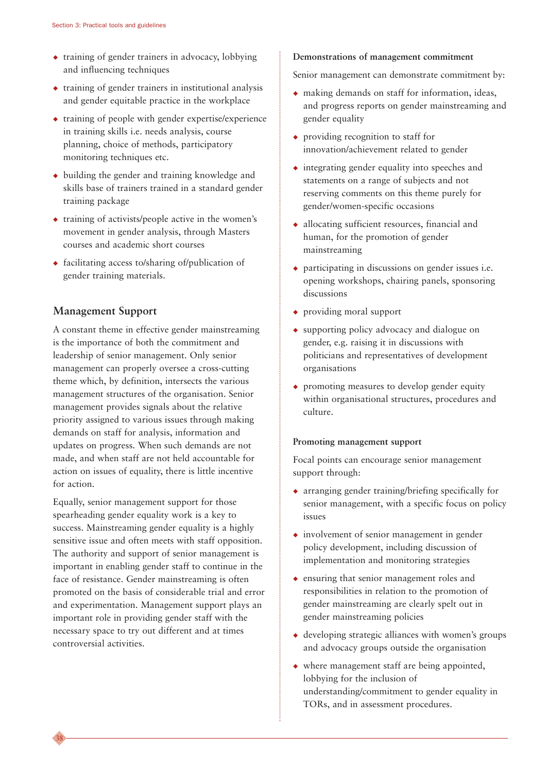- ◆ training of gender trainers in advocacy, lobbying and influencing techniques
- $\triangle$  training of gender trainers in institutional analysis and gender equitable practice in the workplace
- $\bullet$  training of people with gender expertise/experience in training skills i.e. needs analysis, course planning, choice of methods, participatory monitoring techniques etc.
- ◆ building the gender and training knowledge and skills base of trainers trained in a standard gender training package
- ◆ training of activists/people active in the women's movement in gender analysis, through Masters courses and academic short courses
- ◆ facilitating access to/sharing of/publication of gender training materials.

#### **Management Support**

38

A constant theme in effective gender mainstreaming is the importance of both the commitment and leadership of senior management. Only senior management can properly oversee a cross-cutting theme which, by definition, intersects the various management structures of the organisation. Senior management provides signals about the relative priority assigned to various issues through making demands on staff for analysis, information and updates on progress. When such demands are not made, and when staff are not held accountable for action on issues of equality, there is little incentive for action.

Equally, senior management support for those spearheading gender equality work is a key to success. Mainstreaming gender equality is a highly sensitive issue and often meets with staff opposition. The authority and support of senior management is important in enabling gender staff to continue in the face of resistance. Gender mainstreaming is often promoted on the basis of considerable trial and error and experimentation. Management support plays an important role in providing gender staff with the necessary space to try out different and at times controversial activities.

#### **Demonstrations of management commitment**

Senior management can demonstrate commitment by:

- ◆ making demands on staff for information, ideas, and progress reports on gender mainstreaming and gender equality
- ◆ providing recognition to staff for innovation/achievement related to gender
- ◆ integrating gender equality into speeches and statements on a range of subjects and not reserving comments on this theme purely for gender/women-specific occasions
- ◆ allocating sufficient resources, financial and human, for the promotion of gender mainstreaming
- ◆ participating in discussions on gender issues i.e. opening workshops, chairing panels, sponsoring discussions
- ◆ providing moral support
- ◆ supporting policy advocacy and dialogue on gender, e.g. raising it in discussions with politicians and representatives of development organisations
- ◆ promoting measures to develop gender equity within organisational structures, procedures and culture.

#### **Promoting management support**

Focal points can encourage senior management support through:

- ◆ arranging gender training/briefing specifically for senior management, with a specific focus on policy issues
- ◆ involvement of senior management in gender policy development, including discussion of implementation and monitoring strategies
- ◆ ensuring that senior management roles and responsibilities in relation to the promotion of gender mainstreaming are clearly spelt out in gender mainstreaming policies
- ◆ developing strategic alliances with women's groups and advocacy groups outside the organisation
- ◆ where management staff are being appointed, lobbying for the inclusion of understanding/commitment to gender equality in TORs, and in assessment procedures.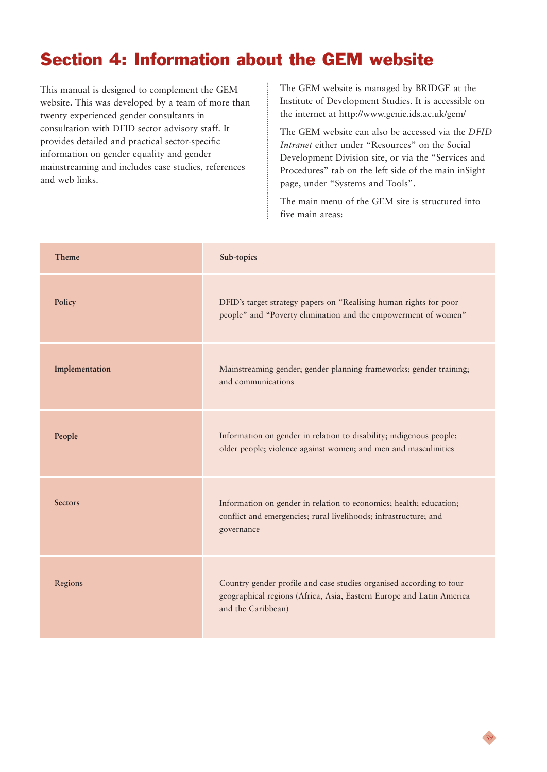### Section 4: Information about the GEM website

This manual is designed to complement the GEM website. This was developed by a team of more than twenty experienced gender consultants in consultation with DFID sector advisory staff. It provides detailed and practical sector-specific information on gender equality and gender mainstreaming and includes case studies, references and web links.

The GEM website is managed by BRIDGE at the Institute of Development Studies. It is accessible on the internet at http://www.genie.ids.ac.uk/gem/

The GEM website can also be accessed via the *DFID Intranet* either under "Resources" on the Social Development Division site, or via the "Services and Procedures" tab on the left side of the main inSight page, under "Systems and Tools".

The main menu of the GEM site is structured into five main areas:

| Theme          | Sub-topics                                                                                                                                                        |
|----------------|-------------------------------------------------------------------------------------------------------------------------------------------------------------------|
| Policy         | DFID's target strategy papers on "Realising human rights for poor<br>people" and "Poverty elimination and the empowerment of women"                               |
| Implementation | Mainstreaming gender; gender planning frameworks; gender training;<br>and communications                                                                          |
| People         | Information on gender in relation to disability; indigenous people;<br>older people; violence against women; and men and masculinities                            |
| <b>Sectors</b> | Information on gender in relation to economics; health; education;<br>conflict and emergencies; rural livelihoods; infrastructure; and<br>governance              |
| Regions        | Country gender profile and case studies organised according to four<br>geographical regions (Africa, Asia, Eastern Europe and Latin America<br>and the Caribbean) |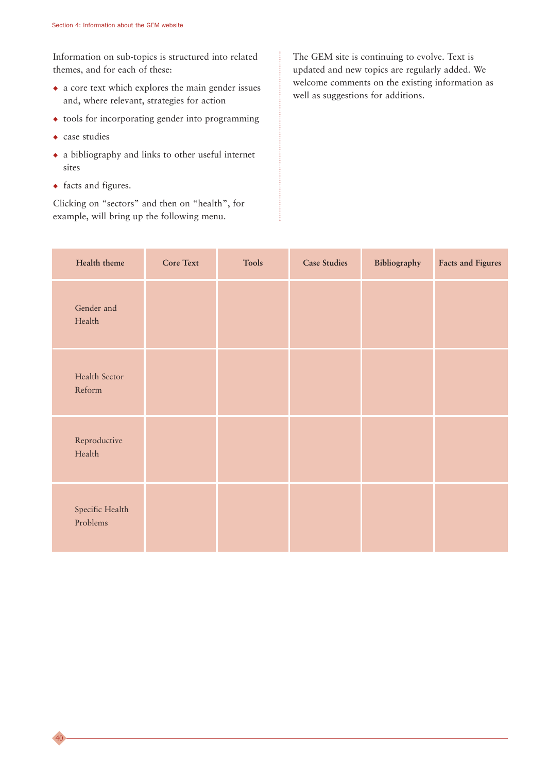Information on sub-topics is structured into related themes, and for each of these:

- ◆ a core text which explores the main gender issues and, where relevant, strategies for action
- ◆ tools for incorporating gender into programming
- ◆ case studies

40

- ◆ a bibliography and links to other useful internet sites
- ◆ facts and figures.

Clicking on "sectors" and then on "health", for example, will bring up the following menu.

The GEM site is continuing to evolve. Text is updated and new topics are regularly added. We welcome comments on the existing information as well as suggestions for additions.

| Health theme                | <b>Core Text</b> | <b>Tools</b> | <b>Case Studies</b> | Bibliography | <b>Facts and Figures</b> |
|-----------------------------|------------------|--------------|---------------------|--------------|--------------------------|
| Gender and<br>Health        |                  |              |                     |              |                          |
| Health Sector<br>Reform     |                  |              |                     |              |                          |
| Reproductive<br>Health      |                  |              |                     |              |                          |
| Specific Health<br>Problems |                  |              |                     |              |                          |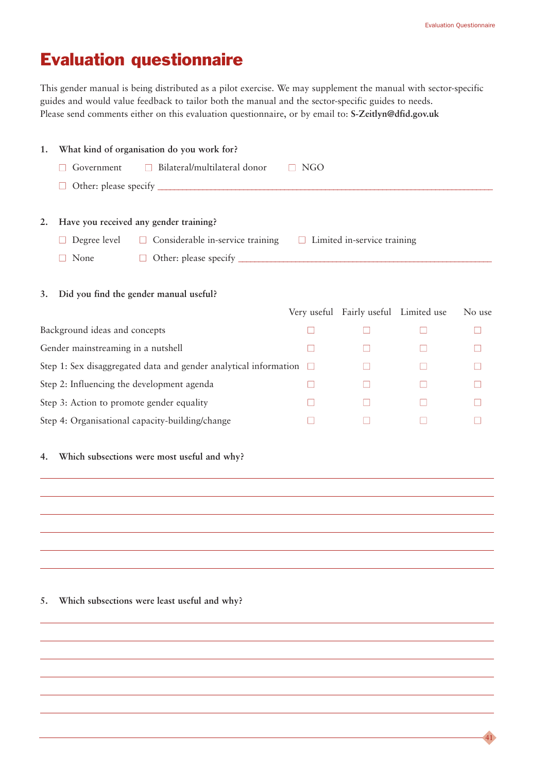41

## Evaluation questionnaire

This gender manual is being distributed as a pilot exercise. We may supplement the manual with sector-specific guides and would value feedback to tailor both the manual and the sector-specific guides to needs. Please send comments either on this evaluation questionnaire, or by email to: **S-Zeitlyn@dfid.gov.uk** 

| 1.                                        |                                    | What kind of organisation do you work for?                       |              |                                       |        |
|-------------------------------------------|------------------------------------|------------------------------------------------------------------|--------------|---------------------------------------|--------|
|                                           | Government                         | Bilateral/multilateral donor                                     | NGO          |                                       |        |
|                                           |                                    |                                                                  |              |                                       |        |
| 2.                                        |                                    | Have you received any gender training?                           |              |                                       |        |
|                                           | Degree level                       | $\Box$ Considerable in-service training                          |              | $\Box$ Limited in-service training    |        |
|                                           | None                               |                                                                  |              |                                       |        |
| 3.                                        |                                    | Did you find the gender manual useful?                           |              | Very useful Fairly useful Limited use | No use |
|                                           | Background ideas and concepts      |                                                                  |              |                                       |        |
|                                           | Gender mainstreaming in a nutshell |                                                                  | H            |                                       |        |
|                                           |                                    | Step 1: Sex disaggregated data and gender analytical information | $\Box$       |                                       |        |
|                                           |                                    | Step 2: Influencing the development agenda                       | $\mathsf{L}$ |                                       |        |
| Step 3: Action to promote gender equality |                                    |                                                                  |              |                                       |        |
|                                           |                                    | Step 4: Organisational capacity-building/change                  |              |                                       |        |
| 4.                                        |                                    | Which subsections were most useful and why?                      |              |                                       |        |
|                                           |                                    |                                                                  |              |                                       |        |

#### **5. Which subsections were least useful and why?**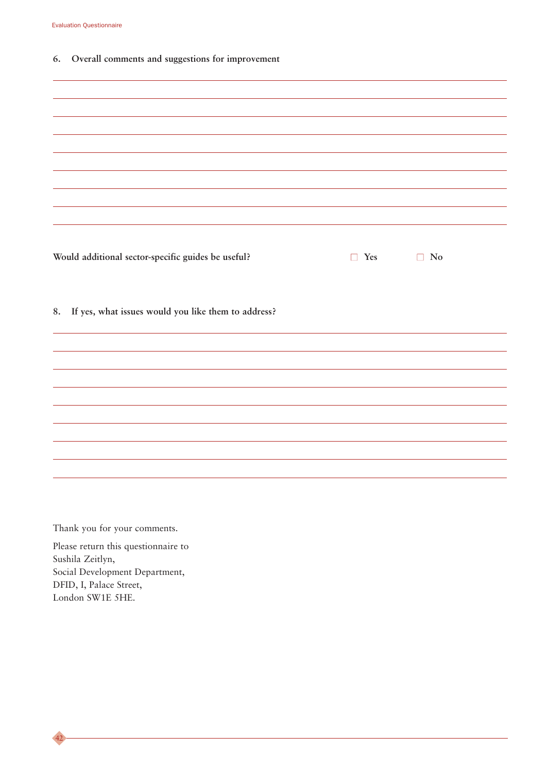**6. Overall comments and suggestions for improvement**

| Would additional sector-specific guides be useful?     | $\Box$ Yes | $\Box$ No |
|--------------------------------------------------------|------------|-----------|
| 8. If yes, what issues would you like them to address? |            |           |
|                                                        |            |           |
|                                                        |            |           |
|                                                        |            |           |

Thank you for your comments.

Please return this questionnaire to Sushila Zeitlyn, Social Development Department, DFID, I, Palace Street, London SW1E 5HE.